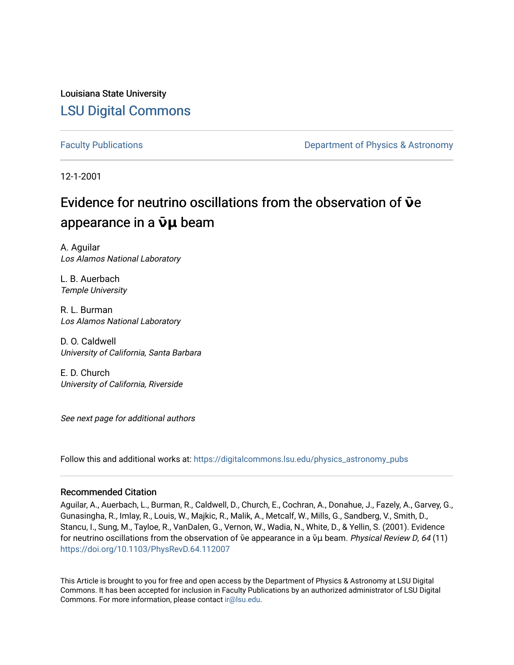Louisiana State University [LSU Digital Commons](https://digitalcommons.lsu.edu/)

[Faculty Publications](https://digitalcommons.lsu.edu/physics_astronomy_pubs) **Exercise 2 and Table 2 and Table 2 and Table 2 and Table 2 and Table 2 and Table 2 and Table 2 and Table 2 and Table 2 and Table 2 and Table 2 and Table 2 and Table 2 and Table 2 and Table 2 and Table** 

12-1-2001

# Evidence for neutrino oscillations from the observation of **ν**ε appearance in a  $\bar{v}$ μ beam

A. Aguilar Los Alamos National Laboratory

L. B. Auerbach Temple University

R. L. Burman Los Alamos National Laboratory

D. O. Caldwell University of California, Santa Barbara

E. D. Church University of California, Riverside

See next page for additional authors

Follow this and additional works at: [https://digitalcommons.lsu.edu/physics\\_astronomy\\_pubs](https://digitalcommons.lsu.edu/physics_astronomy_pubs?utm_source=digitalcommons.lsu.edu%2Fphysics_astronomy_pubs%2F3442&utm_medium=PDF&utm_campaign=PDFCoverPages) 

## Recommended Citation

Aguilar, A., Auerbach, L., Burman, R., Caldwell, D., Church, E., Cochran, A., Donahue, J., Fazely, A., Garvey, G., Gunasingha, R., Imlay, R., Louis, W., Majkic, R., Malik, A., Metcalf, W., Mills, G., Sandberg, V., Smith, D., Stancu, I., Sung, M., Tayloe, R., VanDalen, G., Vernon, W., Wadia, N., White, D., & Yellin, S. (2001). Evidence for neutrino oscillations from the observation of  $\bar{v}$ e appearance in a  $\bar{v}$ µ beam. Physical Review D, 64 (11) <https://doi.org/10.1103/PhysRevD.64.112007>

This Article is brought to you for free and open access by the Department of Physics & Astronomy at LSU Digital Commons. It has been accepted for inclusion in Faculty Publications by an authorized administrator of LSU Digital Commons. For more information, please contact [ir@lsu.edu](mailto:ir@lsu.edu).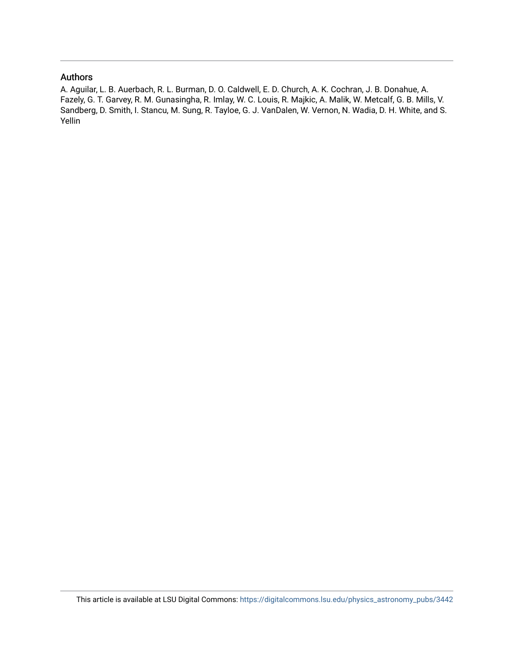# Authors

A. Aguilar, L. B. Auerbach, R. L. Burman, D. O. Caldwell, E. D. Church, A. K. Cochran, J. B. Donahue, A. Fazely, G. T. Garvey, R. M. Gunasingha, R. Imlay, W. C. Louis, R. Majkic, A. Malik, W. Metcalf, G. B. Mills, V. Sandberg, D. Smith, I. Stancu, M. Sung, R. Tayloe, G. J. VanDalen, W. Vernon, N. Wadia, D. H. White, and S. Yellin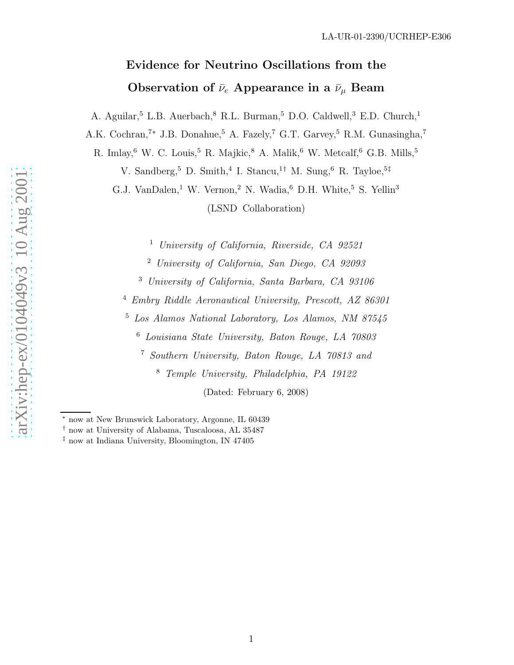# Evidence for Neutrino Oscillations from the Observation of  $\bar{\nu}_e$  Appearance in a  $\bar{\nu}_\mu$  Beam

A. Aguilar,<sup>5</sup> L.B. Auerbach,<sup>8</sup> R.L. Burman,<sup>5</sup> D.O. Caldwell,<sup>3</sup> E.D. Church,<sup>1</sup>

A.K. Cochran,<sup>7\*</sup> J.B. Donahue,<sup>5</sup> A. Fazely,<sup>7</sup> G.T. Garvey,<sup>5</sup> R.M. Gunasingha,<sup>7</sup>

R. Imlay, <sup>6</sup> W. C. Louis, <sup>5</sup> R. Majkic, <sup>8</sup> A. Malik, <sup>6</sup> W. Metcalf, <sup>6</sup> G.B. Mills, <sup>5</sup>

V. Sandberg,<sup>5</sup> D. Smith,<sup>4</sup> I. Stancu,<sup>1†</sup> M. Sung,<sup>6</sup> R. Tayloe,<sup>5‡</sup>

G.J. VanDalen,<sup>1</sup> W. Vernon,<sup>2</sup> N. Wadia,<sup>6</sup> D.H. White,<sup>5</sup> S. Yellin<sup>3</sup>

(LSND Collaboration)

<sup>1</sup> University of California, Riverside, CA 92521

<sup>2</sup> University of California, San Diego, CA 92093

<sup>3</sup> University of California, Santa Barbara, CA 93106

<sup>4</sup> Embry Riddle Aeronautical University, Prescott, AZ 86301

<sup>5</sup> Los Alamos National Laboratory, Los Alamos, NM 87545

<sup>6</sup> Louisiana State University, Baton Rouge, LA 70803

<sup>7</sup> Southern University, Baton Rouge, LA 70813 and

<sup>8</sup> Temple University, Philadelphia, PA 19122

(Dated: February 6, 2008)

<sup>∗</sup> now at New Brunswick Laboratory, Argonne, IL 60439

<sup>†</sup> now at University of Alabama, Tuscaloosa, AL 35487

<sup>‡</sup> now at Indiana University, Bloomington, IN 47405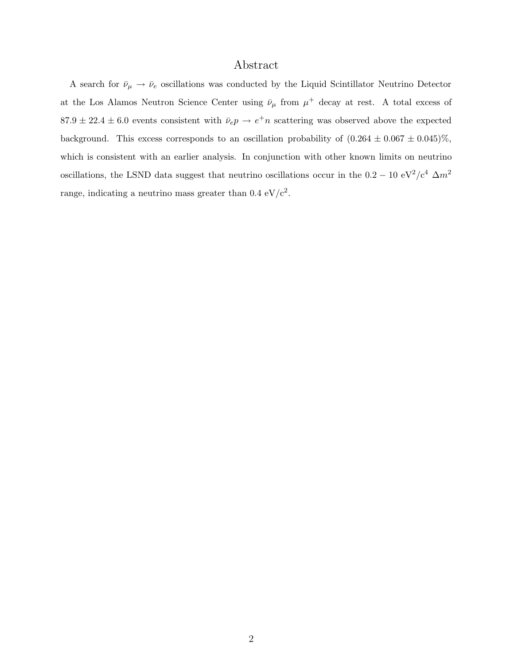# Abstract

A search for  $\bar{\nu}_{\mu} \to \bar{\nu}_{e}$  oscillations was conducted by the Liquid Scintillator Neutrino Detector at the Los Alamos Neutron Science Center using  $\bar{\nu}_{\mu}$  from  $\mu^{+}$  decay at rest. A total excess of  $87.9 \pm 22.4 \pm 6.0$  events consistent with  $\bar{\nu}_e p \rightarrow e^+ n$  scattering was observed above the expected background. This excess corresponds to an oscillation probability of  $(0.264 \pm 0.067 \pm 0.045)\%$ , which is consistent with an earlier analysis. In conjunction with other known limits on neutrino oscillations, the LSND data suggest that neutrino oscillations occur in the  $0.2 - 10 \text{ eV}^2/\text{c}^4 \Delta m^2$ range, indicating a neutrino mass greater than  $0.4 \text{ eV}/c^2$ .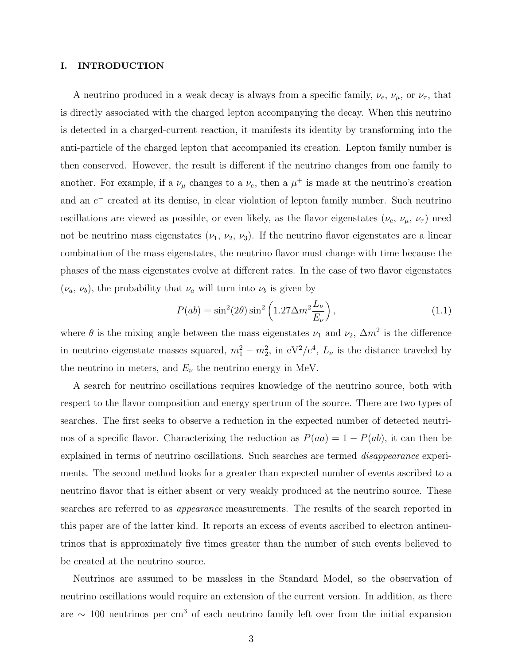### I. INTRODUCTION

A neutrino produced in a weak decay is always from a specific family,  $\nu_e$ ,  $\nu_\mu$ , or  $\nu_\tau$ , that is directly associated with the charged lepton accompanying the decay. When this neutrino is detected in a charged-current reaction, it manifests its identity by transforming into the anti-particle of the charged lepton that accompanied its creation. Lepton family number is then conserved. However, the result is different if the neutrino changes from one family to another. For example, if a  $\nu_{\mu}$  changes to a  $\nu_e$ , then a  $\mu^+$  is made at the neutrino's creation and an  $e^-$  created at its demise, in clear violation of lepton family number. Such neutrino oscillations are viewed as possible, or even likely, as the flavor eigenstates  $(\nu_e, \nu_\mu, \nu_\tau)$  need not be neutrino mass eigenstates  $(\nu_1, \nu_2, \nu_3)$ . If the neutrino flavor eigenstates are a linear combination of the mass eigenstates, the neutrino flavor must change with time because the phases of the mass eigenstates evolve at different rates. In the case of two flavor eigenstates  $(\nu_a, \nu_b)$ , the probability that  $\nu_a$  will turn into  $\nu_b$  is given by

$$
P(ab) = \sin^2(2\theta)\sin^2\left(1.27\Delta m^2 \frac{L_\nu}{E_\nu}\right),\tag{1.1}
$$

where  $\theta$  is the mixing angle between the mass eigenstates  $\nu_1$  and  $\nu_2$ ,  $\Delta m^2$  is the difference in neutrino eigenstate masses squared,  $m_1^2 - m_2^2$ , in  $eV^2/c^4$ ,  $L_\nu$  is the distance traveled by the neutrino in meters, and  $E_{\nu}$  the neutrino energy in MeV.

A search for neutrino oscillations requires knowledge of the neutrino source, both with respect to the flavor composition and energy spectrum of the source. There are two types of searches. The first seeks to observe a reduction in the expected number of detected neutrinos of a specific flavor. Characterizing the reduction as  $P(aa) = 1 - P(ab)$ , it can then be explained in terms of neutrino oscillations. Such searches are termed disappearance experiments. The second method looks for a greater than expected number of events ascribed to a neutrino flavor that is either absent or very weakly produced at the neutrino source. These searches are referred to as appearance measurements. The results of the search reported in this paper are of the latter kind. It reports an excess of events ascribed to electron antineutrinos that is approximately five times greater than the number of such events believed to be created at the neutrino source.

Neutrinos are assumed to be massless in the Standard Model, so the observation of neutrino oscillations would require an extension of the current version. In addition, as there are  $\sim$  100 neutrinos per cm<sup>3</sup> of each neutrino family left over from the initial expansion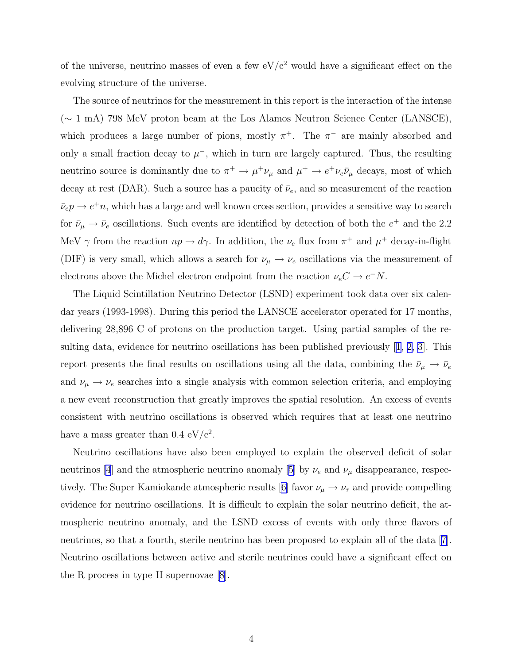of the universe, neutrino masses of even a few  $eV/c^2$  would have a significant effect on the evolving structure of the universe.

The source of neutrinos for the measurement in this report is the interaction of the intense (∼ 1 mA) 798 MeV proton beam at the Los Alamos Neutron Science Center (LANSCE), which produces a large number of pions, mostly  $\pi^+$ . The  $\pi^-$  are mainly absorbed and only a small fraction decay to  $\mu^-$ , which in turn are largely captured. Thus, the resulting neutrino source is dominantly due to  $\pi^+ \to \mu^+ \nu_\mu$  and  $\mu^+ \to e^+ \nu_e \bar{\nu}_\mu$  decays, most of which decay at rest (DAR). Such a source has a paucity of  $\bar{\nu}_e$ , and so measurement of the reaction  $\bar{\nu}_e p \rightarrow e^+ n$ , which has a large and well known cross section, provides a sensitive way to search for  $\bar{\nu}_{\mu} \rightarrow \bar{\nu}_{e}$  oscillations. Such events are identified by detection of both the  $e^{+}$  and the 2.2 MeV  $\gamma$  from the reaction  $np \to d\gamma$ . In addition, the  $\nu_e$  flux from  $\pi^+$  and  $\mu^+$  decay-in-flight (DIF) is very small, which allows a search for  $\nu_\mu \to \nu_e$  oscillations via the measurement of electrons above the Michel electron endpoint from the reaction  $\nu_e C \to e^- N$ .

The Liquid Scintillation Neutrino Detector (LSND) experiment took data over six calendar years (1993-1998). During this period the LANSCE accelerator operated for 17 months, delivering 28,896 C of protons on the production target. Using partial samples of the resulting data, evidence for neutrino oscillations has been published previously[[1, 2, 3\]](#page-68-0). This report presents the final results on oscillations using all the data, combining the  $\bar{\nu}_{\mu} \to \bar{\nu}_{e}$ and  $\nu_{\mu} \rightarrow \nu_{e}$  searches into a single analysis with common selection criteria, and employing a new event reconstruction that greatly improves the spatial resolution. An excess of events consistent with neutrino oscillations is observed which requires that at least one neutrino have a mass greater than  $0.4 \text{ eV}/c^2$ .

Neutrino oscillations have also been employed to explain the observed deficit of solar neutrinos [\[4](#page-68-0)]and the atmospheric neutrino anomaly [[5\]](#page-68-0) by  $\nu_e$  and  $\nu_\mu$  disappearance, respec-tively. The Super Kamiokande atmospheric results [\[6](#page-68-0)] favor  $\nu_{\mu} \rightarrow \nu_{\tau}$  and provide compelling evidence for neutrino oscillations. It is difficult to explain the solar neutrino deficit, the atmospheric neutrino anomaly, and the LSND excess of events with only three flavors of neutrinos, so that a fourth, sterile neutrino has been proposed to explain all of the data[[7\]](#page-68-0). Neutrino oscillations between active and sterile neutrinos could have a significant effect on the R process in type II supernovae[[8](#page-68-0)].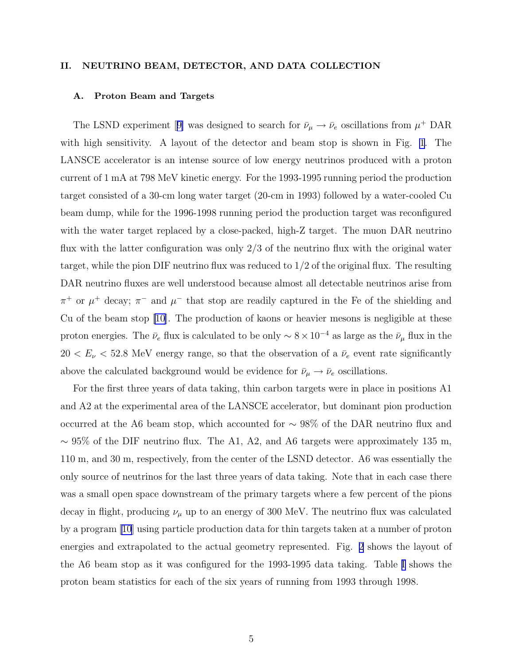## II. NEUTRINO BEAM, DETECTOR, AND DATA COLLECTION

### A. Proton Beam and Targets

TheLSND experiment [[9\]](#page-68-0) was designed to search for  $\bar{\nu}_{\mu} \to \bar{\nu}_{e}$  oscillations from  $\mu^{+}$  DAR with high sensitivity. A layout of the detector and beam stop is shown in Fig. [1](#page-41-0). The LANSCE accelerator is an intense source of low energy neutrinos produced with a proton current of 1 mA at 798 MeV kinetic energy. For the 1993-1995 running period the production target consisted of a 30-cm long water target (20-cm in 1993) followed by a water-cooled Cu beam dump, while for the 1996-1998 running period the production target was reconfigured with the water target replaced by a close-packed, high-Z target. The muon DAR neutrino flux with the latter configuration was only 2/3 of the neutrino flux with the original water target, while the pion DIF neutrino flux was reduced to 1/2 of the original flux. The resulting DAR neutrino fluxes are well understood because almost all detectable neutrinos arise from  $\pi^+$  or  $\mu^+$  decay;  $\pi^-$  and  $\mu^-$  that stop are readily captured in the Fe of the shielding and Cu of the beam stop [\[10\]](#page-68-0). The production of kaons or heavier mesons is negligible at these proton energies. The  $\bar{\nu}_e$  flux is calculated to be only ~ 8 × 10<sup>-4</sup> as large as the  $\bar{\nu}_\mu$  flux in the  $20 < E_{\nu} < 52.8$  MeV energy range, so that the observation of a  $\bar{\nu}_e$  event rate significantly above the calculated background would be evidence for  $\bar{\nu}_{\mu} \to \bar{\nu}_e$  oscillations.

For the first three years of data taking, thin carbon targets were in place in positions A1 and A2 at the experimental area of the LANSCE accelerator, but dominant pion production occurred at the A6 beam stop, which accounted for  $\sim 98\%$  of the DAR neutrino flux and  $\sim$  95% of the DIF neutrino flux. The A1, A2, and A6 targets were approximately 135 m, 110 m, and 30 m, respectively, from the center of the LSND detector. A6 was essentially the only source of neutrinos for the last three years of data taking. Note that in each case there was a small open space downstream of the primary targets where a few percent of the pions decay in flight, producing  $\nu_{\mu}$  up to an energy of 300 MeV. The neutrino flux was calculated by a program [\[10\]](#page-68-0) using particle production data for thin targets taken at a number of proton energies and extrapolated to the actual geometry represented. Fig. [2](#page-41-0) shows the layout of the A6 beam stop as it was configured for the 1993-1995 data taking. Table [I](#page-31-0) shows the proton beam statistics for each of the six years of running from 1993 through 1998.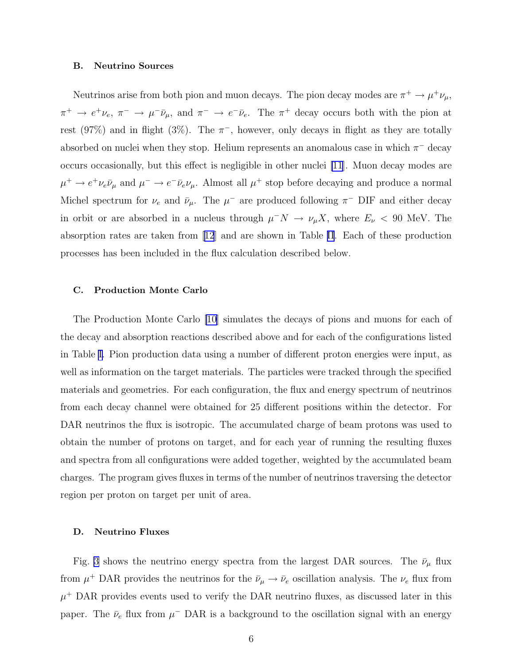#### B. Neutrino Sources

Neutrinos arise from both pion and muon decays. The pion decay modes are  $\pi^+ \to \mu^+ \nu_\mu$ ,  $\pi^+ \to e^+ \nu_e, \ \pi^- \to \mu^- \bar{\nu}_\mu$ , and  $\pi^- \to e^- \bar{\nu}_e$ . The  $\pi^+$  decay occurs both with the pion at rest (97%) and in flight (3%). The  $\pi^{-}$ , however, only decays in flight as they are totally absorbed on nuclei when they stop. Helium represents an anomalous case in which  $\pi^-$  decay occurs occasionally, but this effect is negligible in other nuclei [\[11](#page-68-0)]. Muon decay modes are  $\mu^+ \to e^+ \nu_e \bar{\nu}_\mu$  and  $\mu^- \to e^- \bar{\nu}_e \nu_\mu$ . Almost all  $\mu^+$  stop before decaying and produce a normal Michel spectrum for  $\nu_e$  and  $\bar{\nu}_{\mu}$ . The  $\mu^-$  are produced following  $\pi^-$  DIF and either decay in orbit or are absorbed in a nucleus through  $\mu^- N \to \nu_\mu X$ , where  $E_\nu$  < 90 MeV. The absorption rates are taken from[[12](#page-68-0)] and are shown in Table [II](#page-31-0). Each of these production processes has been included in the flux calculation described below.

#### C. Production Monte Carlo

The Production Monte Carlo [\[10](#page-68-0)] simulates the decays of pions and muons for each of the decay and absorption reactions described above and for each of the configurations listed in Table [I.](#page-31-0) Pion production data using a number of different proton energies were input, as well as information on the target materials. The particles were tracked through the specified materials and geometries. For each configuration, the flux and energy spectrum of neutrinos from each decay channel were obtained for 25 different positions within the detector. For DAR neutrinos the flux is isotropic. The accumulated charge of beam protons was used to obtain the number of protons on target, and for each year of running the resulting fluxes and spectra from all configurations were added together, weighted by the accumulated beam charges. The program gives fluxes in terms of the number of neutrinos traversing the detector region per proton on target per unit of area.

## D. Neutrino Fluxes

Fig. [3](#page-42-0) shows the neutrino energy spectra from the largest DAR sources. The  $\bar{\nu}_{\mu}$  flux from  $\mu^+$  DAR provides the neutrinos for the  $\bar{\nu}_{\mu} \to \bar{\nu}_{e}$  oscillation analysis. The  $\nu_e$  flux from  $\mu^+$  DAR provides events used to verify the DAR neutrino fluxes, as discussed later in this paper. The  $\bar{\nu}_e$  flux from  $\mu^-$  DAR is a background to the oscillation signal with an energy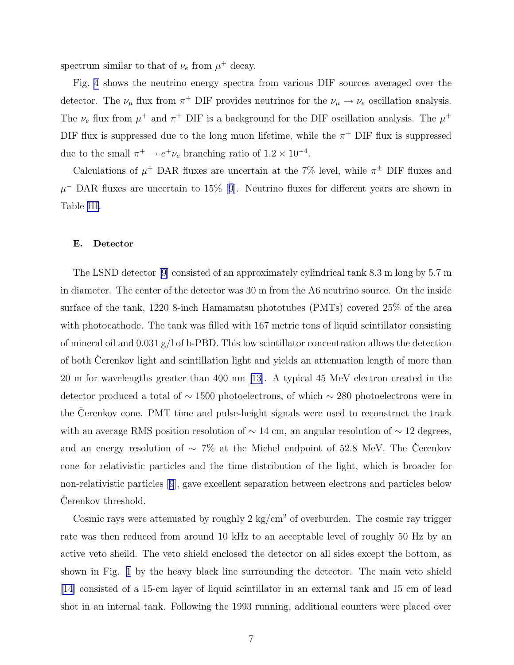spectrum similar to that of  $\nu_e$  from  $\mu^+$  decay.

Fig. [4](#page-43-0) shows the neutrino energy spectra from various DIF sources averaged over the detector. The  $\nu_{\mu}$  flux from  $\pi^{+}$  DIF provides neutrinos for the  $\nu_{\mu} \to \nu_{e}$  oscillation analysis. The  $\nu_e$  flux from  $\mu^+$  and  $\pi^+$  DIF is a background for the DIF oscillation analysis. The  $\mu^+$ DIF flux is suppressed due to the long muon lifetime, while the  $\pi^+$  DIF flux is suppressed due to the small  $\pi^+ \to e^+ \nu_e$  branching ratio of  $1.2 \times 10^{-4}$ .

Calculations of  $\mu^+$  DAR fluxes are uncertain at the 7% level, while  $\pi^{\pm}$  DIF fluxes and  $\mu$ <sup>-</sup>DAR fluxes are uncertain to 15% [[9](#page-68-0)]. Neutrino fluxes for different years are shown in Table [III](#page-32-0).

### E. Detector

The LSND detector [\[9](#page-68-0)] consisted of an approximately cylindrical tank 8.3 m long by 5.7 m in diameter. The center of the detector was 30 m from the A6 neutrino source. On the inside surface of the tank, 1220 8-inch Hamamatsu phototubes (PMTs) covered 25% of the area with photocathode. The tank was filled with 167 metric tons of liquid scintillator consisting of mineral oil and 0.031  $g/1$  of b-PBD. This low scintillator concentration allows the detection of both Cerenkov light and scintillation light and yields an attenuation length of more than 20 m for wavelengths greater than 400 nm[[13\]](#page-68-0). A typical 45 MeV electron created in the detector produced a total of ∼ 1500 photoelectrons, of which ∼ 280 photoelectrons were in the Cerenkov cone. PMT time and pulse-height signals were used to reconstruct the track with an average RMS position resolution of  $\sim$  14 cm, an angular resolution of  $\sim$  12 degrees, and an energy resolution of  $\sim 7\%$  at the Michel endpoint of 52.8 MeV. The Čerenkov cone for relativistic particles and the time distribution of the light, which is broader for non-relativistic particles[[9](#page-68-0)], gave excellent separation between electrons and particles below Cerenkov threshold.

Cosmic rays were attenuated by roughly  $2 \text{ kg/cm}^2$  of overburden. The cosmic ray trigger rate was then reduced from around 10 kHz to an acceptable level of roughly 50 Hz by an active veto sheild. The veto shield enclosed the detector on all sides except the bottom, as shown in Fig. [1](#page-41-0) by the heavy black line surrounding the detector. The main veto shield [\[14](#page-68-0)] consisted of a 15-cm layer of liquid scintillator in an external tank and 15 cm of lead shot in an internal tank. Following the 1993 running, additional counters were placed over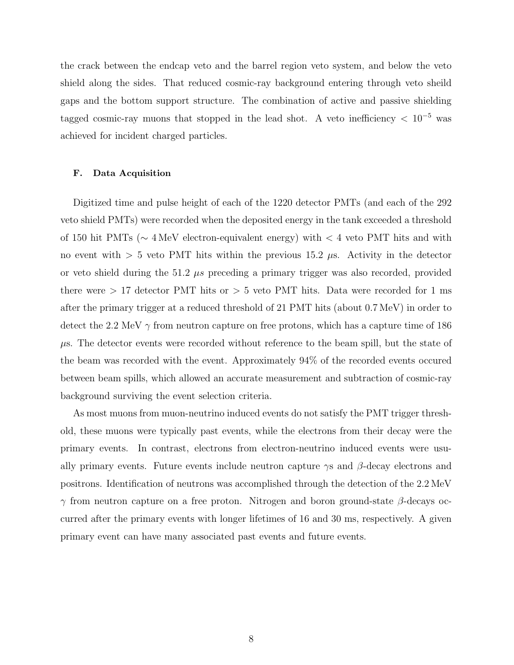the crack between the endcap veto and the barrel region veto system, and below the veto shield along the sides. That reduced cosmic-ray background entering through veto sheild gaps and the bottom support structure. The combination of active and passive shielding tagged cosmic-ray muons that stopped in the lead shot. A veto inefficiency  $< 10^{-5}$  was achieved for incident charged particles.

#### F. Data Acquisition

Digitized time and pulse height of each of the 1220 detector PMTs (and each of the 292 veto shield PMTs) were recorded when the deposited energy in the tank exceeded a threshold of 150 hit PMTs (∼ 4 MeV electron-equivalent energy) with < 4 veto PMT hits and with no event with  $> 5$  veto PMT hits within the previous 15.2  $\mu$ s. Activity in the detector or veto shield during the  $51.2 \mu s$  preceding a primary trigger was also recorded, provided there were  $> 17$  detector PMT hits or  $> 5$  veto PMT hits. Data were recorded for 1 ms after the primary trigger at a reduced threshold of 21 PMT hits (about 0.7 MeV) in order to detect the 2.2 MeV  $\gamma$  from neutron capture on free protons, which has a capture time of 186  $\mu$ s. The detector events were recorded without reference to the beam spill, but the state of the beam was recorded with the event. Approximately 94% of the recorded events occured between beam spills, which allowed an accurate measurement and subtraction of cosmic-ray background surviving the event selection criteria.

As most muons from muon-neutrino induced events do not satisfy the PMT trigger threshold, these muons were typically past events, while the electrons from their decay were the primary events. In contrast, electrons from electron-neutrino induced events were usually primary events. Future events include neutron capture  $\gamma s$  and  $\beta$ -decay electrons and positrons. Identification of neutrons was accomplished through the detection of the 2.2 MeV γ from neutron capture on a free proton. Nitrogen and boron ground-state β-decays occurred after the primary events with longer lifetimes of 16 and 30 ms, respectively. A given primary event can have many associated past events and future events.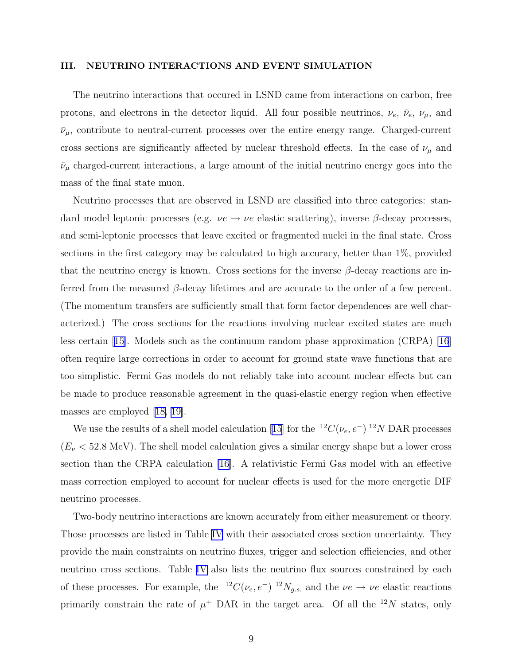#### III. NEUTRINO INTERACTIONS AND EVENT SIMULATION

The neutrino interactions that occured in LSND came from interactions on carbon, free protons, and electrons in the detector liquid. All four possible neutrinos,  $\nu_e$ ,  $\bar{\nu}_e$ ,  $\nu_\mu$ , and  $\bar{\nu}_{\mu}$ , contribute to neutral-current processes over the entire energy range. Charged-current cross sections are significantly affected by nuclear threshold effects. In the case of  $\nu_{\mu}$  and  $\bar{\nu}_{\mu}$  charged-current interactions, a large amount of the initial neutrino energy goes into the mass of the final state muon.

Neutrino processes that are observed in LSND are classified into three categories: standard model leptonic processes (e.g.  $\nu e \rightarrow \nu e$  elastic scattering), inverse  $\beta$ -decay processes, and semi-leptonic processes that leave excited or fragmented nuclei in the final state. Cross sections in the first category may be calculated to high accuracy, better than 1%, provided that the neutrino energy is known. Cross sections for the inverse  $\beta$ -decay reactions are inferred from the measured  $\beta$ -decay lifetimes and are accurate to the order of a few percent. (The momentum transfers are sufficiently small that form factor dependences are well characterized.) The cross sections for the reactions involving nuclear excited states are much less certain [\[15\]](#page-68-0). Models such as the continuum random phase approximation (CRPA) [\[16](#page-68-0)] often require large corrections in order to account for ground state wave functions that are too simplistic. Fermi Gas models do not reliably take into account nuclear effects but can be made to produce reasonable agreement in the quasi-elastic energy region when effective masses are employed [\[18, 19\]](#page-69-0).

We use the results of a shell model calculation [\[15\]](#page-68-0) for the  ${}^{12}C(\nu_e, e^-) {}^{12}N$  DAR processes  $(E_{\nu} < 52.8 \text{ MeV})$ . The shell model calculation gives a similar energy shape but a lower cross section than the CRPA calculation [\[16](#page-68-0)]. A relativistic Fermi Gas model with an effective mass correction employed to account for nuclear effects is used for the more energetic DIF neutrino processes.

Two-body neutrino interactions are known accurately from either measurement or theory. Those processes are listed in Table [IV](#page-32-0) with their associated cross section uncertainty. They provide the main constraints on neutrino fluxes, trigger and selection efficiencies, and other neutrino cross sections. Table [IV](#page-32-0) also lists the neutrino flux sources constrained by each of these processes. For example, the <sup>12</sup>C( $\nu_e, e^-$ )<sup>12</sup>N<sub>g.s.</sub> and the  $\nu e \to \nu e$  elastic reactions primarily constrain the rate of  $\mu^+$  DAR in the target area. Of all the <sup>12</sup>N states, only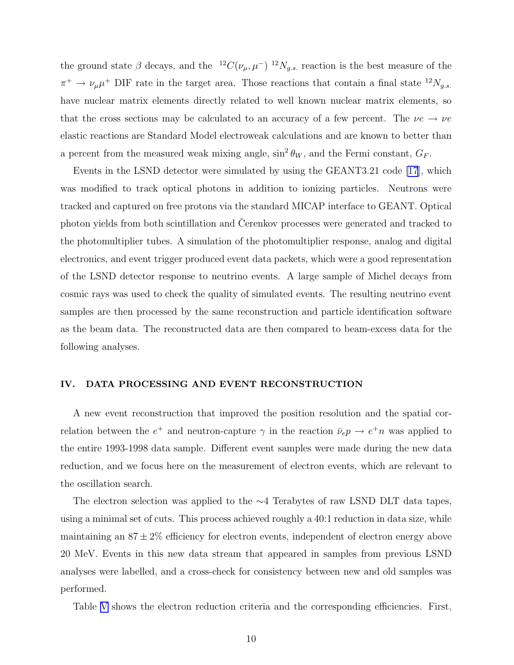the ground state  $\beta$  decays, and the  ${}^{12}C(\nu_{\mu}, \mu^{-})$   ${}^{12}N_{g.s.}$  reaction is the best measure of the  $\pi^+ \to \nu_\mu \mu^+$  DIF rate in the target area. Those reactions that contain a final state  $^{12}N_{g.s.}$ have nuclear matrix elements directly related to well known nuclear matrix elements, so that the cross sections may be calculated to an accuracy of a few percent. The  $\nu e \rightarrow \nu e$ elastic reactions are Standard Model electroweak calculations and are known to better than a percent from the measured weak mixing angle,  $\sin^2 \theta_W$ , and the Fermi constant,  $G_F$ .

Events in the LSND detector were simulated by using the GEANT3.21 code [\[17](#page-68-0)], which was modified to track optical photons in addition to ionizing particles. Neutrons were tracked and captured on free protons via the standard MICAP interface to GEANT. Optical photon yields from both scintillation and Cerenkov processes were generated and tracked to the photomultiplier tubes. A simulation of the photomultiplier response, analog and digital electronics, and event trigger produced event data packets, which were a good representation of the LSND detector response to neutrino events. A large sample of Michel decays from cosmic rays was used to check the quality of simulated events. The resulting neutrino event samples are then processed by the same reconstruction and particle identification software as the beam data. The reconstructed data are then compared to beam-excess data for the following analyses.

# IV. DATA PROCESSING AND EVENT RECONSTRUCTION

A new event reconstruction that improved the position resolution and the spatial correlation between the  $e^+$  and neutron-capture  $\gamma$  in the reaction  $\bar{\nu}_e p \to e^+ n$  was applied to the entire 1993-1998 data sample. Different event samples were made during the new data reduction, and we focus here on the measurement of electron events, which are relevant to the oscillation search.

The electron selection was applied to the ∼4 Terabytes of raw LSND DLT data tapes, using a minimal set of cuts. This process achieved roughly a 40:1 reduction in data size, while maintaining an  $87 \pm 2\%$  efficiency for electron events, independent of electron energy above 20 MeV. Events in this new data stream that appeared in samples from previous LSND analyses were labelled, and a cross-check for consistency between new and old samples was performed.

Table [V](#page-33-0) shows the electron reduction criteria and the corresponding efficiencies. First,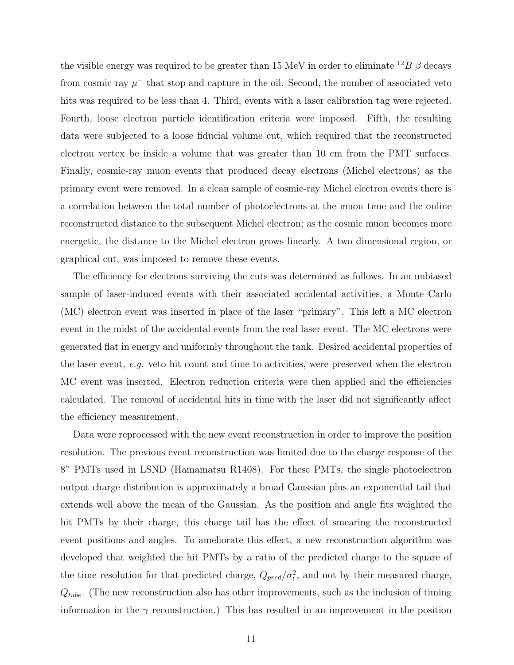the visible energy was required to be greater than 15 MeV in order to eliminate  $^{12}B\beta$  decays from cosmic ray  $\mu^-$  that stop and capture in the oil. Second, the number of associated veto hits was required to be less than 4. Third, events with a laser calibration tag were rejected. Fourth, loose electron particle identification criteria were imposed. Fifth, the resulting data were subjected to a loose fiducial volume cut, which required that the reconstructed electron vertex be inside a volume that was greater than 10 cm from the PMT surfaces. Finally, cosmic-ray muon events that produced decay electrons (Michel electrons) as the primary event were removed. In a clean sample of cosmic-ray Michel electron events there is a correlation between the total number of photoelectrons at the muon time and the online reconstructed distance to the subsequent Michel electron; as the cosmic muon becomes more energetic, the distance to the Michel electron grows linearly. A two dimensional region, or graphical cut, was imposed to remove these events.

The efficiency for electrons surviving the cuts was determined as follows. In an unbiased sample of laser-induced events with their associated accidental activities, a Monte Carlo (MC) electron event was inserted in place of the laser "primary". This left a MC electron event in the midst of the accidental events from the real laser event. The MC electrons were generated flat in energy and uniformly throughout the tank. Desired accidental properties of the laser event, e.g. veto hit count and time to activities, were preserved when the electron MC event was inserted. Electron reduction criteria were then applied and the efficiencies calculated. The removal of accidental hits in time with the laser did not significantly affect the efficiency measurement.

Data were reprocessed with the new event reconstruction in order to improve the position resolution. The previous event reconstruction was limited due to the charge response of the 8" PMTs used in LSND (Hamamatsu R1408). For these PMTs, the single photoelectron output charge distribution is approximately a broad Gaussian plus an exponential tail that extends well above the mean of the Gaussian. As the position and angle fits weighted the hit PMTs by their charge, this charge tail has the effect of smearing the reconstructed event positions and angles. To ameliorate this effect, a new reconstruction algorithm was developed that weighted the hit PMTs by a ratio of the predicted charge to the square of the time resolution for that predicted charge,  $Q_{pred}/\sigma_t^2$ , and not by their measured charge,  $Q_{tube}$ . (The new reconstruction also has other improvements, such as the inclusion of timing information in the  $\gamma$  reconstruction.) This has resulted in an improvement in the position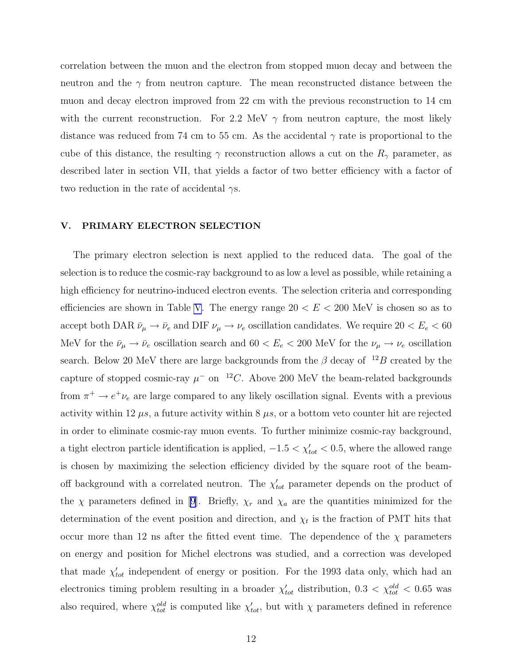correlation between the muon and the electron from stopped muon decay and between the neutron and the  $\gamma$  from neutron capture. The mean reconstructed distance between the muon and decay electron improved from 22 cm with the previous reconstruction to 14 cm with the current reconstruction. For 2.2 MeV  $\gamma$  from neutron capture, the most likely distance was reduced from 74 cm to 55 cm. As the accidental  $\gamma$  rate is proportional to the cube of this distance, the resulting  $\gamma$  reconstruction allows a cut on the  $R_{\gamma}$  parameter, as described later in section VII, that yields a factor of two better efficiency with a factor of two reduction in the rate of accidental  $\gamma s$ .

### V. PRIMARY ELECTRON SELECTION

The primary electron selection is next applied to the reduced data. The goal of the selection is to reduce the cosmic-ray background to as low a level as possible, while retaining a high efficiency for neutrino-induced electron events. The selection criteria and corresponding efficiencies are shown in Table [V](#page-33-0). The energy range  $20 < E < 200$  MeV is chosen so as to accept both DAR  $\bar{\nu}_{\mu} \to \bar{\nu}_e$  and DIF  $\nu_{\mu} \to \nu_e$  oscillation candidates. We require  $20 < E_e < 60$ MeV for the  $\bar{\nu}_{\mu} \to \bar{\nu}_e$  oscillation search and  $60 < E_e < 200$  MeV for the  $\nu_{\mu} \to \nu_e$  oscillation search. Below 20 MeV there are large backgrounds from the  $\beta$  decay of  $12B$  created by the capture of stopped cosmic-ray  $\mu^-$  on <sup>12</sup>C. Above 200 MeV the beam-related backgrounds from  $\pi^+ \to e^+ \nu_e$  are large compared to any likely oscillation signal. Events with a previous activity within 12  $\mu$ s, a future activity within 8  $\mu$ s, or a bottom veto counter hit are rejected in order to eliminate cosmic-ray muon events. To further minimize cosmic-ray background, a tight electron particle identification is applied,  $-1.5 < \chi'_{tot} < 0.5$ , where the allowed range is chosen by maximizing the selection efficiency divided by the square root of the beamoff background with a correlated neutron. The  $\chi'_{tot}$  parameter depends on the product of the  $\chi$  parameters defined in [\[9\]](#page-68-0). Briefly,  $\chi_r$  and  $\chi_a$  are the quantities minimized for the determination of the event position and direction, and  $\chi_t$  is the fraction of PMT hits that occur more than 12 ns after the fitted event time. The dependence of the  $\chi$  parameters on energy and position for Michel electrons was studied, and a correction was developed that made  $\chi'_{tot}$  independent of energy or position. For the 1993 data only, which had an electronics timing problem resulting in a broader  $\chi'_{tot}$  distribution,  $0.3 < \chi^{old}_{tot} < 0.65$  was also required, where  $\chi_{tot}^{old}$  is computed like  $\chi_{tot}^{\prime}$ , but with  $\chi$  parameters defined in reference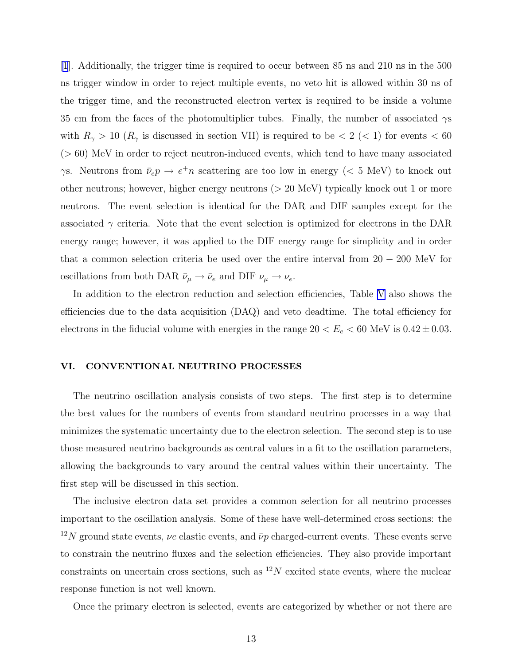[\[1](#page-68-0)]. Additionally, the trigger time is required to occur between 85 ns and 210 ns in the 500 ns trigger window in order to reject multiple events, no veto hit is allowed within 30 ns of the trigger time, and the reconstructed electron vertex is required to be inside a volume 35 cm from the faces of the photomultiplier tubes. Finally, the number of associated  $\gamma s$ with  $R_{\gamma} > 10$  ( $R_{\gamma}$  is discussed in section VII) is required to be  $< 2$  ( $< 1$ ) for events  $< 60$ (> 60) MeV in order to reject neutron-induced events, which tend to have many associated  $\gamma$ s. Neutrons from  $\bar{\nu}_e p \to e^+ n$  scattering are too low in energy (< 5 MeV) to knock out other neutrons; however, higher energy neutrons (> 20 MeV) typically knock out 1 or more neutrons. The event selection is identical for the DAR and DIF samples except for the associated  $\gamma$  criteria. Note that the event selection is optimized for electrons in the DAR energy range; however, it was applied to the DIF energy range for simplicity and in order that a common selection criteria be used over the entire interval from  $20 - 200$  MeV for oscillations from both DAR  $\bar{\nu}_{\mu} \to \bar{\nu}_{e}$  and DIF  $\nu_{\mu} \to \nu_{e}$ .

In addition to the electron reduction and selection efficiencies, Table [V](#page-33-0) also shows the efficiencies due to the data acquisition (DAQ) and veto deadtime. The total efficiency for electrons in the fiducial volume with energies in the range  $20 < E_e < 60$  MeV is  $0.42 \pm 0.03$ .

### VI. CONVENTIONAL NEUTRINO PROCESSES

The neutrino oscillation analysis consists of two steps. The first step is to determine the best values for the numbers of events from standard neutrino processes in a way that minimizes the systematic uncertainty due to the electron selection. The second step is to use those measured neutrino backgrounds as central values in a fit to the oscillation parameters, allowing the backgrounds to vary around the central values within their uncertainty. The first step will be discussed in this section.

The inclusive electron data set provides a common selection for all neutrino processes important to the oscillation analysis. Some of these have well-determined cross sections: the <sup>12</sup>N ground state events,  $\nu e$  elastic events, and  $\bar{\nu}p$  charged-current events. These events serve to constrain the neutrino fluxes and the selection efficiencies. They also provide important constraints on uncertain cross sections, such as  $12N$  excited state events, where the nuclear response function is not well known.

Once the primary electron is selected, events are categorized by whether or not there are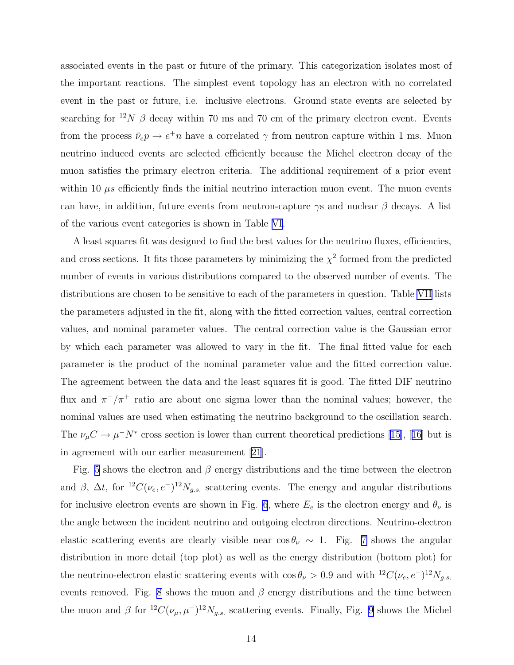associated events in the past or future of the primary. This categorization isolates most of the important reactions. The simplest event topology has an electron with no correlated event in the past or future, i.e. inclusive electrons. Ground state events are selected by searching for <sup>12</sup>N  $\beta$  decay within 70 ms and 70 cm of the primary electron event. Events from the process  $\bar{\nu}_e p \to e^+ n$  have a correlated  $\gamma$  from neutron capture within 1 ms. Muon neutrino induced events are selected efficiently because the Michel electron decay of the muon satisfies the primary electron criteria. The additional requirement of a prior event within 10  $\mu$ s efficiently finds the initial neutrino interaction muon event. The muon events can have, in addition, future events from neutron-capture  $\gamma s$  and nuclear  $\beta$  decays. A list of the various event categories is shown in Table [VI.](#page-34-0)

A least squares fit was designed to find the best values for the neutrino fluxes, efficiencies, and cross sections. It fits those parameters by minimizing the  $\chi^2$  formed from the predicted number of events in various distributions compared to the observed number of events. The distributions are chosen to be sensitive to each of the parameters in question. Table [VII](#page-35-0) lists the parameters adjusted in the fit, along with the fitted correction values, central correction values, and nominal parameter values. The central correction value is the Gaussian error by which each parameter was allowed to vary in the fit. The final fitted value for each parameter is the product of the nominal parameter value and the fitted correction value. The agreement between the data and the least squares fit is good. The fitted DIF neutrino flux and  $\pi^{-}/\pi^{+}$  ratio are about one sigma lower than the nominal values; however, the nominal values are used when estimating the neutrino background to the oscillation search. The $\nu_\mu C \to \mu^- N^*$  cross section is lower than current theoretical predictions [\[15](#page-68-0)], [[16](#page-68-0)] but is in agreement with our earlier measurement[[21](#page-69-0)].

Fig. [5](#page-44-0) shows the electron and  $\beta$  energy distributions and the time between the electron and  $\beta$ ,  $\Delta t$ , for <sup>12</sup>C( $\nu_e$ ,  $e^{-}$ )<sup>12</sup>N<sub>g.s.</sub> scattering events. The energy and angular distributions for inclusive electron events are shown in Fig. [6](#page-45-0), where  $E_e$  is the electron energy and  $\theta_{\nu}$  is the angle between the incident neutrino and outgoing electron directions. Neutrino-electron elastic scattering events are clearly visible near  $\cos \theta_{\nu} \sim 1$ . Fig. [7](#page-46-0) shows the angular distribution in more detail (top plot) as well as the energy distribution (bottom plot) for the neutrino-electron elastic scattering events with  $\cos \theta_{\nu} > 0.9$  and with  ${}^{12}C(\nu_e, e^-){}^{12}N_{g.s.}$ events removed. Fig. [8](#page-47-0) shows the muon and  $\beta$  energy distributions and the time between the muon and  $\beta$  for  ${}^{12}C(\nu_{\mu}, \mu^{-}){}^{12}N_{g.s.}$  scattering events. Finally, Fig. [9](#page-48-0) shows the Michel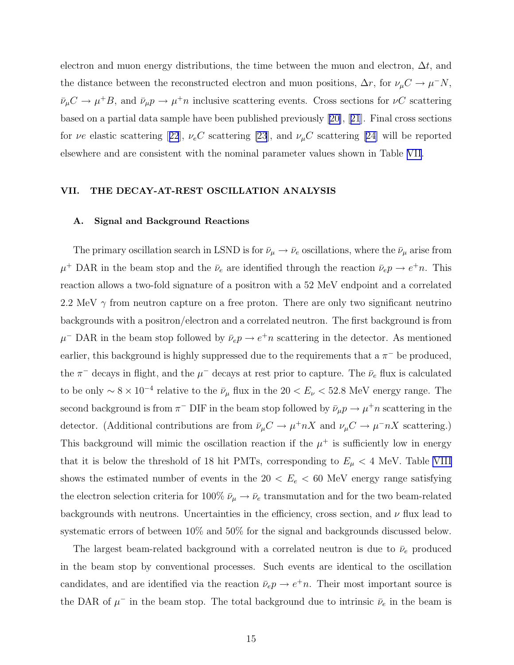electron and muon energy distributions, the time between the muon and electron,  $\Delta t$ , and the distance between the reconstructed electron and muon positions,  $\Delta r$ , for  $\nu_{\mu} C \to \mu^- N$ ,  $\bar{\nu}_{\mu}C \to \mu^+B$ , and  $\bar{\nu}_{\mu}p \to \mu^+n$  inclusive scattering events. Cross sections for  $\nu C$  scattering based on a partial data sample have been published previously[[20\]](#page-69-0),[[21](#page-69-0)]. Final cross sections for $\nu e$  elastic scattering [[22](#page-69-0)],  $\nu_e C$  scattering [\[23](#page-69-0)], and  $\nu_\mu C$  scattering [\[24\]](#page-69-0) will be reported elsewhere and are consistent with the nominal parameter values shown in Table [VII](#page-35-0).

### VII. THE DECAY-AT-REST OSCILLATION ANALYSIS

### A. Signal and Background Reactions

The primary oscillation search in LSND is for  $\bar{\nu}_{\mu} \to \bar{\nu}_{e}$  oscillations, where the  $\bar{\nu}_{\mu}$  arise from  $\mu^+$  DAR in the beam stop and the  $\bar{\nu}_e$  are identified through the reaction  $\bar{\nu}_e p \to e^+ n$ . This reaction allows a two-fold signature of a positron with a 52 MeV endpoint and a correlated 2.2 MeV  $\gamma$  from neutron capture on a free proton. There are only two significant neutrino backgrounds with a positron/electron and a correlated neutron. The first background is from  $\mu$ <sup>-</sup> DAR in the beam stop followed by  $\bar{\nu}_e p \to e^+ n$  scattering in the detector. As mentioned earlier, this background is highly suppressed due to the requirements that a  $\pi^-$  be produced, the  $\pi^-$  decays in flight, and the  $\mu^-$  decays at rest prior to capture. The  $\bar{\nu}_e$  flux is calculated to be only  $\sim 8 \times 10^{-4}$  relative to the  $\bar{\nu}_{\mu}$  flux in the 20 <  $E_{\nu}$  < 52.8 MeV energy range. The second background is from  $\pi^-$  DIF in the beam stop followed by  $\bar{\nu}_{\mu} p \to \mu^+ n$  scattering in the detector. (Additional contributions are from  $\bar{\nu}_{\mu}C \to \mu^+ nX$  and  $\nu_{\mu}C \to \mu^- nX$  scattering.) This background will mimic the oscillation reaction if the  $\mu^+$  is sufficiently low in energy that it is below the threshold of 18 hit PMTs, corresponding to  $E_{\mu} < 4$  MeV. Table [VIII](#page-36-0) shows the estimated number of events in the  $20 < E_e < 60$  MeV energy range satisfying the electron selection criteria for 100%  $\bar{\nu}_{\mu} \rightarrow \bar{\nu}_{e}$  transmutation and for the two beam-related backgrounds with neutrons. Uncertainties in the efficiency, cross section, and  $\nu$  flux lead to systematic errors of between 10% and 50% for the signal and backgrounds discussed below.

The largest beam-related background with a correlated neutron is due to  $\bar{\nu}_e$  produced in the beam stop by conventional processes. Such events are identical to the oscillation candidates, and are identified via the reaction  $\bar{\nu}_e p \to e^+ n$ . Their most important source is the DAR of  $\mu^-$  in the beam stop. The total background due to intrinsic  $\bar{\nu}_e$  in the beam is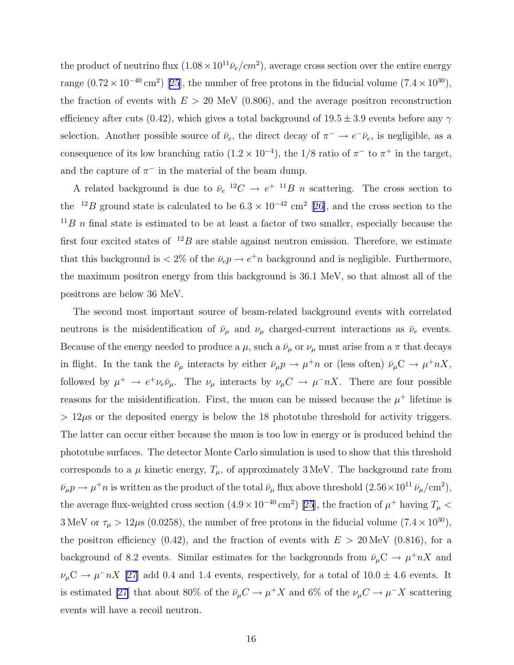the product of neutrino flux  $(1.08 \times 10^{11} \bar{\nu}_e/cm^2)$ , average cross section over the entire energy range  $(0.72 \times 10^{-40} \text{ cm}^2)$  [\[25](#page-69-0)], the number of free protons in the fiducial volume  $(7.4 \times 10^{30})$ , the fraction of events with  $E > 20$  MeV (0.806), and the average positron reconstruction efficiency after cuts (0.42), which gives a total background of  $19.5 \pm 3.9$  events before any  $\gamma$ selection. Another possible source of  $\bar{\nu}_e$ , the direct decay of  $\pi^- \to e^- \bar{\nu}_e$ , is negligible, as a consequence of its low branching ratio  $(1.2 \times 10^{-4})$ , the 1/8 ratio of  $\pi^-$  to  $\pi^+$  in the target, and the capture of  $\pi^-$  in the material of the beam dump.

A related background is due to  $\bar{\nu}_e^{-12}C \rightarrow e^{+11}B$  n scattering. The cross section to the <sup>12</sup>B ground state is calculated to be  $6.3 \times 10^{-42}$  cm<sup>2</sup> [[26\]](#page-69-0), and the cross section to the  $11B$  n final state is estimated to be at least a factor of two smaller, especially because the first four excited states of  $12B$  are stable against neutron emission. Therefore, we estimate that this background is  $\langle 2\%$  of the  $\bar{\nu}_e p \to e^+ n$  background and is negligible. Furthermore, the maximum positron energy from this background is 36.1 MeV, so that almost all of the positrons are below 36 MeV.

The second most important source of beam-related background events with correlated neutrons is the misidentification of  $\bar{\nu}_{\mu}$  and  $\nu_{\mu}$  charged-current interactions as  $\bar{\nu}_{e}$  events. Because of the energy needed to produce a  $\mu$ , such a  $\bar{\nu}_{\mu}$  or  $\nu_{\mu}$  must arise from a  $\pi$  that decays in flight. In the tank the  $\bar{\nu}_{\mu}$  interacts by either  $\bar{\nu}_{\mu}p \to \mu^+ n$  or (less often)  $\bar{\nu}_{\mu}C \to \mu^+ nX$ , followed by  $\mu^+ \to e^+ \nu_e \bar{\nu}_\mu$ . The  $\nu_\mu$  interacts by  $\nu_\mu C \to \mu^- nX$ . There are four possible reasons for the misidentification. First, the muon can be missed because the  $\mu^+$  lifetime is  $> 12\mu$ s or the deposited energy is below the 18 phototube threshold for activity triggers. The latter can occur either because the muon is too low in energy or is produced behind the phototube surfaces. The detector Monte Carlo simulation is used to show that this threshold corresponds to a  $\mu$  kinetic energy,  $T_{\mu}$ , of approximately 3 MeV. The background rate from  $\bar{\nu}_{\mu} p \to \mu^+ n$  is written as the product of the total  $\bar{\nu}_{\mu}$  flux above threshold  $(2.56 \times 10^{11} \bar{\nu}_{\mu}/\text{cm}^2)$ , the average flux-weighted cross section  $(4.9 \times 10^{-40} \text{ cm}^2)$  [\[25](#page-69-0)], the fraction of  $\mu^+$  having  $T_{\mu}$  < 3 MeV or  $\tau_{\mu} > 12 \mu s$  (0.0258), the number of free protons in the fiducial volume (7.4  $\times$  10<sup>30</sup>), the positron efficiency (0.42), and the fraction of events with  $E > 20$  MeV (0.816), for a background of 8.2 events. Similar estimates for the backgrounds from  $\bar{\nu}_{\mu}C \to \mu^+ nX$  and  $\nu_\mu C \to \mu^- n X$  [\[27](#page-69-0)] add 0.4 and 1.4 events, respectively, for a total of  $10.0 \pm 4.6$  events. It is estimated [\[27](#page-69-0)] that about 80% of the  $\bar{\nu}_{\mu}C \to \mu^{+}X$  and 6% of the  $\nu_{\mu}C \to \mu^{-}X$  scattering events will have a recoil neutron.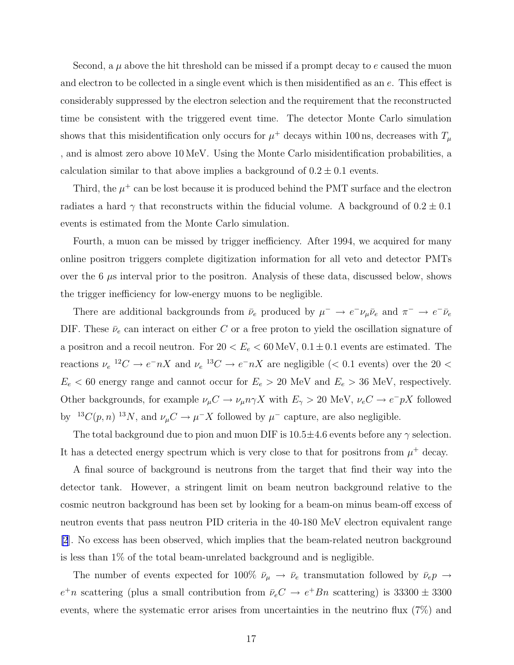Second, a  $\mu$  above the hit threshold can be missed if a prompt decay to e caused the muon and electron to be collected in a single event which is then misidentified as an e. This effect is considerably suppressed by the electron selection and the requirement that the reconstructed time be consistent with the triggered event time. The detector Monte Carlo simulation shows that this misidentification only occurs for  $\mu^+$  decays within 100 ns, decreases with  $T_{\mu}$ , and is almost zero above 10 MeV. Using the Monte Carlo misidentification probabilities, a calculation similar to that above implies a background of  $0.2 \pm 0.1$  events.

Third, the  $\mu^+$  can be lost because it is produced behind the PMT surface and the electron radiates a hard  $\gamma$  that reconstructs within the fiducial volume. A background of  $0.2 \pm 0.1$ events is estimated from the Monte Carlo simulation.

Fourth, a muon can be missed by trigger inefficiency. After 1994, we acquired for many online positron triggers complete digitization information for all veto and detector PMTs over the  $6 \mu s$  interval prior to the positron. Analysis of these data, discussed below, shows the trigger inefficiency for low-energy muons to be negligible.

There are additional backgrounds from  $\bar{\nu}_e$  produced by  $\mu^- \to e^- \nu_\mu \bar{\nu}_e$  and  $\pi^- \to e^- \bar{\nu}_e$ DIF. These  $\bar{\nu}_e$  can interact on either C or a free proton to yield the oscillation signature of a positron and a recoil neutron. For  $20 < E_e < 60$  MeV,  $0.1 \pm 0.1$  events are estimated. The reactions  $\nu_e^{-12}C \to e^- nX$  and  $\nu_e^{-13}C \to e^- nX$  are negligible (< 0.1 events) over the 20 <  $E_e$  < 60 energy range and cannot occur for  $E_e > 20$  MeV and  $E_e > 36$  MeV, respectively. Other backgrounds, for example  $\nu_\mu C \to \nu_\mu n \gamma X$  with  $E_\gamma > 20$  MeV,  $\nu_e C \to e^- pX$  followed by <sup>13</sup>C(p, n)<sup>13</sup>N, and  $\nu_\mu C \to \mu^- X$  followed by  $\mu^-$  capture, are also negligible.

The total background due to pion and muon DIF is  $10.5 \pm 4.6$  events before any  $\gamma$  selection. It has a detected energy spectrum which is very close to that for positrons from  $\mu^+$  decay.

A final source of background is neutrons from the target that find their way into the detector tank. However, a stringent limit on beam neutron background relative to the cosmic neutron background has been set by looking for a beam-on minus beam-off excess of neutron events that pass neutron PID criteria in the 40-180 MeV electron equivalent range [\[2](#page-68-0)]. No excess has been observed, which implies that the beam-related neutron background is less than 1% of the total beam-unrelated background and is negligible.

The number of events expected for 100%  $\bar{\nu}_{\mu} \to \bar{\nu}_e$  transmutation followed by  $\bar{\nu}_e p \to$  $e^+n$  scattering (plus a small contribution from  $\bar{\nu}_e C \rightarrow e^+Bn$  scattering) is 33300  $\pm$  3300 events, where the systematic error arises from uncertainties in the neutrino flux (7%) and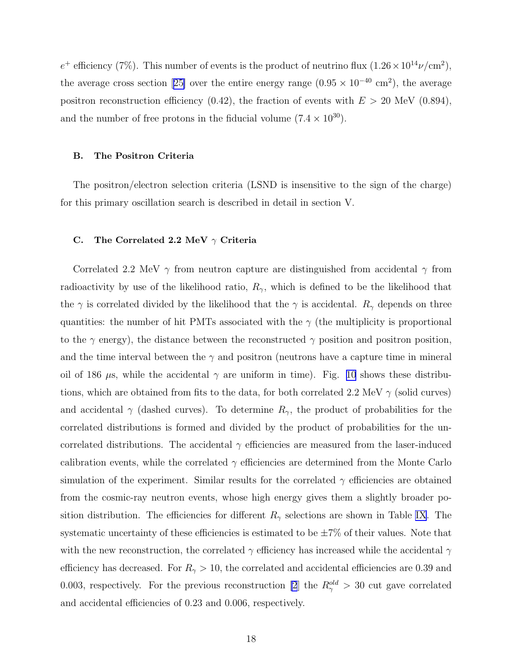$e^+$  efficiency (7%). This number of events is the product of neutrino flux  $(1.26 \times 10^{14} \nu/cm^2)$ , theaverage cross section [[25\]](#page-69-0) over the entire energy range  $(0.95 \times 10^{-40} \text{ cm}^2)$ , the average positron reconstruction efficiency (0.42), the fraction of events with  $E > 20$  MeV (0.894), and the number of free protons in the fiducial volume  $(7.4 \times 10^{30})$ .

#### B. The Positron Criteria

The positron/electron selection criteria (LSND is insensitive to the sign of the charge) for this primary oscillation search is described in detail in section V.

## C. The Correlated 2.2 MeV  $\gamma$  Criteria

Correlated 2.2 MeV  $\gamma$  from neutron capture are distinguished from accidental  $\gamma$  from radioactivity by use of the likelihood ratio,  $R_{\gamma}$ , which is defined to be the likelihood that the  $\gamma$  is correlated divided by the likelihood that the  $\gamma$  is accidental.  $R_{\gamma}$  depends on three quantities: the number of hit PMTs associated with the  $\gamma$  (the multiplicity is proportional to the  $\gamma$  energy), the distance between the reconstructed  $\gamma$  position and positron position, and the time interval between the  $\gamma$  and positron (neutrons have a capture time in mineral oil of 186  $\mu$ s, while the accidental  $\gamma$  are uniform in time). Fig. [10](#page-49-0) shows these distributions, which are obtained from fits to the data, for both correlated 2.2 MeV  $\gamma$  (solid curves) and accidental  $\gamma$  (dashed curves). To determine  $R_{\gamma}$ , the product of probabilities for the correlated distributions is formed and divided by the product of probabilities for the uncorrelated distributions. The accidental  $\gamma$  efficiencies are measured from the laser-induced calibration events, while the correlated  $\gamma$  efficiencies are determined from the Monte Carlo simulation of the experiment. Similar results for the correlated  $\gamma$  efficiencies are obtained from the cosmic-ray neutron events, whose high energy gives them a slightly broader position distribution. The efficiencies for different  $R_{\gamma}$  selections are shown in Table [IX](#page-36-0). The systematic uncertainty of these efficiencies is estimated to be  $\pm 7\%$  of their values. Note that with the new reconstruction, the correlated  $\gamma$  efficiency has increased while the accidental  $\gamma$ efficiency has decreased. For  $R_{\gamma} > 10$ , the correlated and accidental efficiencies are 0.39 and 0.003, respectively. For the previous reconstruction [\[2](#page-68-0)] the  $R_{\gamma}^{old} > 30$  cut gave correlated and accidental efficiencies of 0.23 and 0.006, respectively.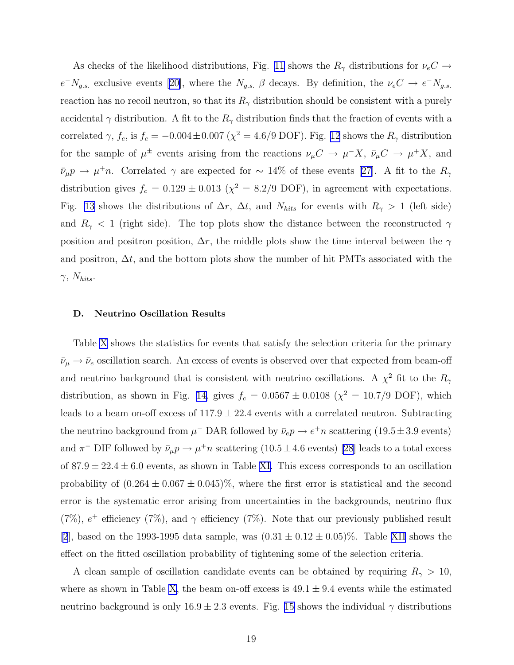As checks of the likelihood distributions, Fig. [11](#page-50-0) shows the  $R_{\gamma}$  distributions for  $\nu_e C \rightarrow$  $e^-N_{g.s.}$ exclusive events [[20\]](#page-69-0), where the  $N_{g.s.}$   $\beta$  decays. By definition, the  $\nu_e C \rightarrow e^-N_{g.s.}$ reaction has no recoil neutron, so that its  $R_{\gamma}$  distribution should be consistent with a purely accidental  $\gamma$  distribution. A fit to the  $R_{\gamma}$  distribution finds that the fraction of events with a correlated  $\gamma$ ,  $f_c$ , is  $f_c = -0.004 \pm 0.007$  ( $\chi^2 = 4.6/9$  DOF). Fig. [12](#page-51-0) shows the  $R_{\gamma}$  distribution for the sample of  $\mu^{\pm}$  events arising from the reactions  $\nu_{\mu}C \to \mu^-X$ ,  $\bar{\nu}_{\mu}C \to \mu^+X$ , and  $\bar{\nu}_{\mu}p \to \mu^+ n$  $\bar{\nu}_{\mu}p \to \mu^+ n$  $\bar{\nu}_{\mu}p \to \mu^+ n$ . Correlated  $\gamma$  are expected for ~ 14% of these events [[27\]](#page-69-0). A fit to the  $R_{\gamma}$ distribution gives  $f_c = 0.129 \pm 0.013$  ( $\chi^2 = 8.2/9$  DOF), in agreement with expectations. Fig. [13](#page-52-0) shows the distributions of  $\Delta r$ ,  $\Delta t$ , and  $N_{hits}$  for events with  $R_{\gamma} > 1$  (left side) and  $R_{\gamma}$  < 1 (right side). The top plots show the distance between the reconstructed  $\gamma$ position and positron position,  $\Delta r$ , the middle plots show the time interval between the  $\gamma$ and positron,  $\Delta t$ , and the bottom plots show the number of hit PMTs associated with the  $\gamma$ ,  $N_{hits}$ .

#### D. Neutrino Oscillation Results

Table [X](#page-37-0) shows the statistics for events that satisfy the selection criteria for the primary  $\bar{\nu}_{\mu}\rightarrow\bar{\nu}_{e}$  oscillation search. An excess of events is observed over that expected from beam-off and neutrino background that is consistent with neutrino oscillations. A  $\chi^2$  fit to the  $R_{\gamma}$ distribution, as shown in Fig. [14,](#page-53-0) gives  $f_c = 0.0567 \pm 0.0108$  ( $\chi^2 = 10.7/9$  DOF), which leads to a beam on-off excess of  $117.9 \pm 22.4$  events with a correlated neutron. Subtracting the neutrino background from  $\mu^-$  DAR followed by  $\bar{\nu}_e p \to e^+ n$  scattering  $(19.5 \pm 3.9 \text{ events})$ and  $\pi^-$  DIF followed by  $\bar{\nu}_\mu p \to \mu^+ n$  scattering  $(10.5 \pm 4.6 \text{ events})$  [\[28](#page-69-0)] leads to a total excess of  $87.9 \pm 22.4 \pm 6.0$  events, as shown in Table [XI](#page-37-0). This excess corresponds to an oscillation probability of  $(0.264 \pm 0.067 \pm 0.045)\%$ , where the first error is statistical and the second error is the systematic error arising from uncertainties in the backgrounds, neutrino flux (7%),  $e^+$  efficiency (7%), and  $\gamma$  efficiency (7%). Note that our previously published result [\[2](#page-68-0)], based on the 1993-1995 data sample, was  $(0.31 \pm 0.12 \pm 0.05)\%$ . Table [XII](#page-38-0) shows the effect on the fitted oscillation probability of tightening some of the selection criteria.

A clean sample of oscillation candidate events can be obtained by requiring  $R_{\gamma} > 10$ , where as shown in Table [X](#page-37-0), the beam on-off excess is  $49.1 \pm 9.4$  events while the estimated neutrino background is only  $16.9 \pm 2.3$  events. Fig. [15](#page-54-0) shows the individual  $\gamma$  distributions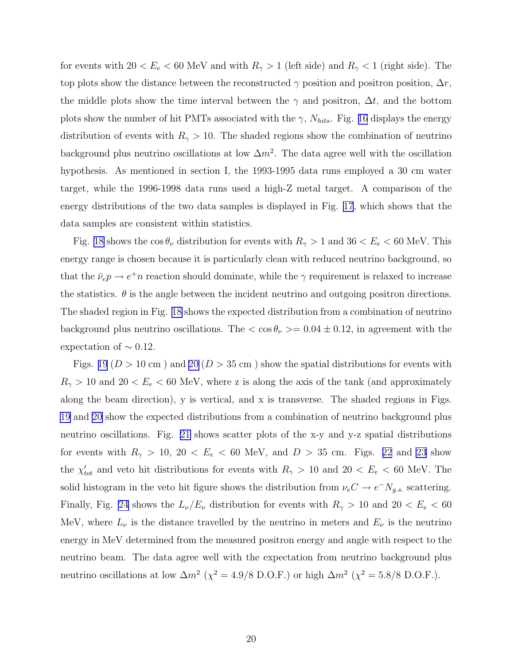for events with  $20 < E_e < 60$  MeV and with  $R_{\gamma} > 1$  (left side) and  $R_{\gamma} < 1$  (right side). The top plots show the distance between the reconstructed  $\gamma$  position and positron position,  $\Delta r$ , the middle plots show the time interval between the  $\gamma$  and positron,  $\Delta t$ , and the bottom plots show the number of hit PMTs associated with the  $\gamma$ ,  $N_{hits}$ . Fig. [16](#page-55-0) displays the energy distribution of events with  $R_{\gamma} > 10$ . The shaded regions show the combination of neutrino background plus neutrino oscillations at low  $\Delta m^2$ . The data agree well with the oscillation hypothesis. As mentioned in section I, the 1993-1995 data runs employed a 30 cm water target, while the 1996-1998 data runs used a high-Z metal target. A comparison of the energy distributions of the two data samples is displayed in Fig. [17](#page-56-0), which shows that the data samples are consistent within statistics.

Fig. [18](#page-57-0) shows the  $\cos \theta_{\nu}$  distribution for events with  $R_{\gamma} > 1$  and  $36 < E_e < 60$  MeV. This energy range is chosen because it is particularly clean with reduced neutrino background, so that the  $\bar{\nu}_e p \to e^+ n$  reaction should dominate, while the  $\gamma$  requirement is relaxed to increase the statistics.  $\theta$  is the angle between the incident neutrino and outgoing positron directions. The shaded region in Fig. [18](#page-57-0) shows the expected distribution from a combination of neutrino background plus neutrino oscillations. The  $\langle \cos \theta_{\nu} \rangle = 0.04 \pm 0.12$ , in agreement with the expectation of  $\sim 0.12$ .

Figs. [19](#page-58-0) ( $D > 10$  cm) and [20](#page-59-0) ( $D > 35$  cm) show the spatial distributions for events with  $R_{\gamma} > 10$  and  $20 < E_e < 60$  MeV, where z is along the axis of the tank (and approximately along the beam direction), y is vertical, and x is transverse. The shaded regions in Figs. [19](#page-58-0) and [20](#page-59-0) show the expected distributions from a combination of neutrino background plus neutrino oscillations. Fig. [21](#page-60-0) shows scatter plots of the x-y and y-z spatial distributions for events with  $R_{\gamma} > 10$ ,  $20 < E_e < 60$  MeV, and  $D > 35$  cm. Figs. [22](#page-61-0) and [23](#page-62-0) show the  $\chi'_{tot}$  and veto hit distributions for events with  $R_{\gamma} > 10$  and  $20 < E_e < 60$  MeV. The solid histogram in the veto hit figure shows the distribution from  $\nu_e C \to e^- N_{g.s.}$  scattering. Finally, Fig. [24](#page-63-0) shows the  $L_{\nu}/E_{\nu}$  distribution for events with  $R_{\gamma} > 10$  and  $20 < E_e < 60$ MeV, where  $L_{\nu}$  is the distance travelled by the neutrino in meters and  $E_{\nu}$  is the neutrino energy in MeV determined from the measured positron energy and angle with respect to the neutrino beam. The data agree well with the expectation from neutrino background plus neutrino oscillations at low  $\Delta m^2$  ( $\chi^2 = 4.9/8$  D.O.F.) or high  $\Delta m^2$  ( $\chi^2 = 5.8/8$  D.O.F.).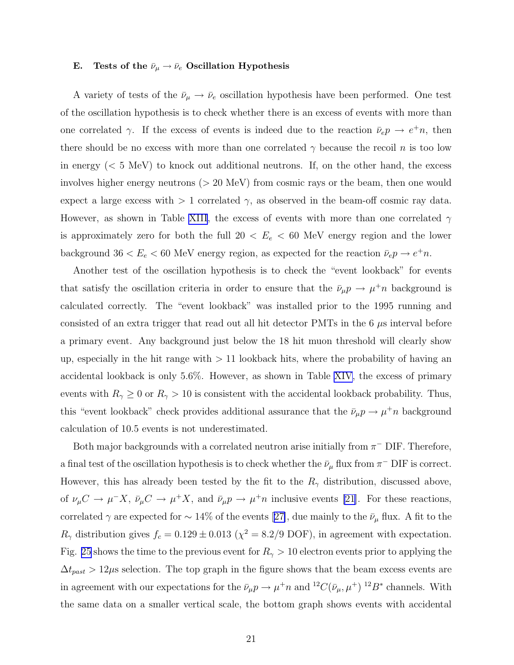## E. Tests of the  $\bar{\nu}_{\mu} \rightarrow \bar{\nu}_{e}$  Oscillation Hypothesis

A variety of tests of the  $\bar{\nu}_{\mu} \rightarrow \bar{\nu}_{e}$  oscillation hypothesis have been performed. One test of the oscillation hypothesis is to check whether there is an excess of events with more than one correlated  $\gamma$ . If the excess of events is indeed due to the reaction  $\bar{\nu}_e p \to e^+ n$ , then there should be no excess with more than one correlated  $\gamma$  because the recoil n is too low in energy  $(< 5 \text{ MeV})$  to knock out additional neutrons. If, on the other hand, the excess involves higher energy neutrons ( $> 20$  MeV) from cosmic rays or the beam, then one would expect a large excess with  $> 1$  correlated  $\gamma$ , as observed in the beam-off cosmic ray data. However, as shown in Table [XIII](#page-38-0), the excess of events with more than one correlated  $\gamma$ is approximately zero for both the full  $20 < E_e < 60$  MeV energy region and the lower background  $36 < E_e < 60$  MeV energy region, as expected for the reaction  $\bar{\nu}_e p \to e^+ n$ .

Another test of the oscillation hypothesis is to check the "event lookback" for events that satisfy the oscillation criteria in order to ensure that the  $\bar{\nu}_{\mu}p \to \mu^+ n$  background is calculated correctly. The "event lookback" was installed prior to the 1995 running and consisted of an extra trigger that read out all hit detector PMTs in the  $6 \mu s$  interval before a primary event. Any background just below the 18 hit muon threshold will clearly show up, especially in the hit range with  $> 11$  lookback hits, where the probability of having an accidental lookback is only 5.6%. However, as shown in Table [XIV](#page-39-0), the excess of primary events with  $R_{\gamma} \ge 0$  or  $R_{\gamma} > 10$  is consistent with the accidental lookback probability. Thus, this "event lookback" check provides additional assurance that the  $\bar{\nu}_{\mu} p \to \mu^+ n$  background calculation of 10.5 events is not underestimated.

Both major backgrounds with a correlated neutron arise initially from  $\pi$ <sup>-</sup> DIF. Therefore, a final test of the oscillation hypothesis is to check whether the  $\bar{\nu}_{\mu}$  flux from  $\pi$ <sup>-</sup> DIF is correct. However, this has already been tested by the fit to the  $R_{\gamma}$  distribution, discussed above, of  $\nu_\mu C \to \mu^- X$ ,  $\bar{\nu}_\mu C \to \mu^+ X$ , and  $\bar{\nu}_\mu p \to \mu^+ n$  inclusive events [\[21\]](#page-69-0). For these reactions, correlated $\gamma$  are expected for  $\sim 14\%$  of the events [[27\]](#page-69-0), due mainly to the  $\bar{\nu}_{\mu}$  flux. A fit to the  $R_{\gamma}$  distribution gives  $f_c = 0.129 \pm 0.013$  ( $\chi^2 = 8.2/9$  DOF), in agreement with expectation. Fig. [25](#page-64-0) shows the time to the previous event for  $R_{\gamma} > 10$  electron events prior to applying the  $\Delta t_{past} > 12 \mu s$  selection. The top graph in the figure shows that the beam excess events are in agreement with our expectations for the  $\bar{\nu}_{\mu}p \to \mu^+ n$  and  ${}^{12}C(\bar{\nu}_{\mu}, \mu^+){}^{12}B^*$  channels. With the same data on a smaller vertical scale, the bottom graph shows events with accidental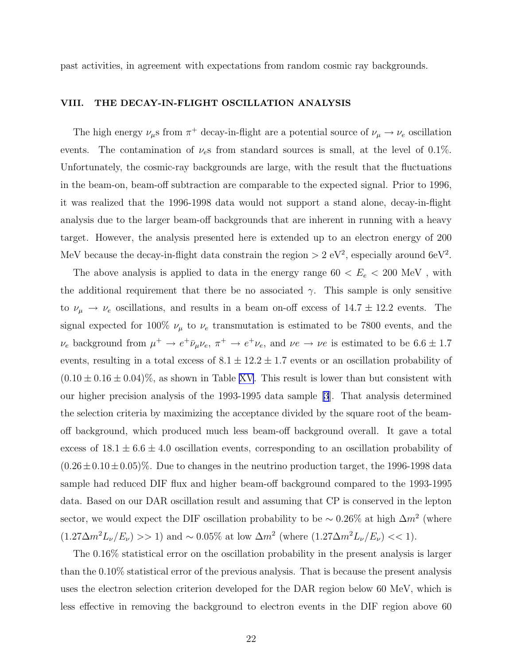past activities, in agreement with expectations from random cosmic ray backgrounds.

# VIII. THE DECAY-IN-FLIGHT OSCILLATION ANALYSIS

The high energy  $\nu_\mu$ s from  $\pi^+$  decay-in-flight are a potential source of  $\nu_\mu \to \nu_e$  oscillation events. The contamination of  $\nu_e$ s from standard sources is small, at the level of 0.1%. Unfortunately, the cosmic-ray backgrounds are large, with the result that the fluctuations in the beam-on, beam-off subtraction are comparable to the expected signal. Prior to 1996, it was realized that the 1996-1998 data would not support a stand alone, decay-in-flight analysis due to the larger beam-off backgrounds that are inherent in running with a heavy target. However, the analysis presented here is extended up to an electron energy of 200 MeV because the decay-in-flight data constrain the region  $> 2$  eV<sup>2</sup>, especially around 6eV<sup>2</sup>.

The above analysis is applied to data in the energy range  $60 < E_e < 200$  MeV, with the additional requirement that there be no associated  $\gamma$ . This sample is only sensitive to  $\nu_{\mu} \rightarrow \nu_{e}$  oscillations, and results in a beam on-off excess of  $14.7 \pm 12.2$  events. The signal expected for 100%  $\nu_{\mu}$  to  $\nu_{e}$  transmutation is estimated to be 7800 events, and the  $\nu_e$  background from  $\mu^+ \to e^+ \bar{\nu}_{\mu} \nu_e$ ,  $\pi^+ \to e^+ \nu_e$ , and  $\nu e \to \nu e$  is estimated to be 6.6  $\pm$  1.7 events, resulting in a total excess of  $8.1 \pm 12.2 \pm 1.7$  events or an oscillation probability of  $(0.10 \pm 0.16 \pm 0.04)\%$ , as shown in Table [XV](#page-39-0). This result is lower than but consistent with our higher precision analysis of the 1993-1995 data sample [\[3\]](#page-68-0). That analysis determined the selection criteria by maximizing the acceptance divided by the square root of the beamoff background, which produced much less beam-off background overall. It gave a total excess of  $18.1 \pm 6.6 \pm 4.0$  oscillation events, corresponding to an oscillation probability of  $(0.26 \pm 0.10 \pm 0.05)\%$ . Due to changes in the neutrino production target, the 1996-1998 data sample had reduced DIF flux and higher beam-off background compared to the 1993-1995 data. Based on our DAR oscillation result and assuming that CP is conserved in the lepton sector, we would expect the DIF oscillation probability to be  $\sim 0.26\%$  at high  $\Delta m^2$  (where  $(1.27\Delta m^2L_\nu/E_\nu) >> 1$  and ~ 0.05% at low  $\Delta m^2$  (where  $(1.27\Delta m^2L_\nu/E_\nu) << 1$ ).

The 0.16% statistical error on the oscillation probability in the present analysis is larger than the 0.10% statistical error of the previous analysis. That is because the present analysis uses the electron selection criterion developed for the DAR region below 60 MeV, which is less effective in removing the background to electron events in the DIF region above 60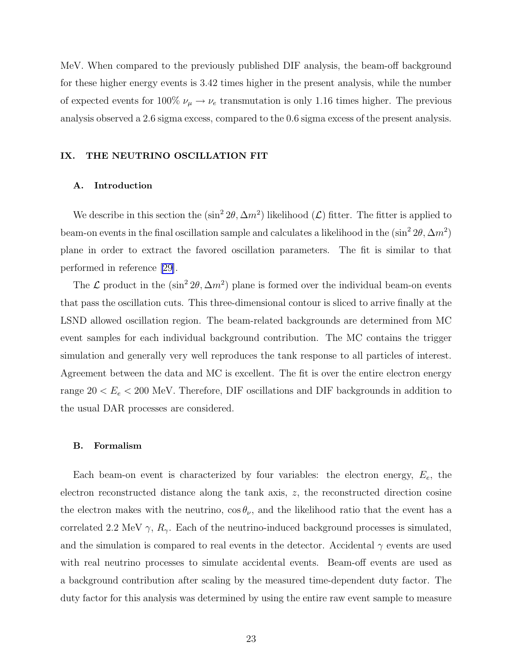MeV. When compared to the previously published DIF analysis, the beam-off background for these higher energy events is 3.42 times higher in the present analysis, while the number of expected events for 100%  $\nu_\mu \rightarrow \nu_e$  transmutation is only 1.16 times higher. The previous analysis observed a 2.6 sigma excess, compared to the 0.6 sigma excess of the present analysis.

## IX. THE NEUTRINO OSCILLATION FIT

#### A. Introduction

We describe in this section the  $(\sin^2 2\theta, \Delta m^2)$  likelihood  $(\mathcal{L})$  fitter. The fitter is applied to beam-on events in the final oscillation sample and calculates a likelihood in the  $(\sin^2 2\theta, \Delta m^2)$ plane in order to extract the favored oscillation parameters. The fit is similar to that performed in reference[[29\]](#page-69-0).

The  $\mathcal L$  product in the  $(\sin^2 2\theta, \Delta m^2)$  plane is formed over the individual beam-on events that pass the oscillation cuts. This three-dimensional contour is sliced to arrive finally at the LSND allowed oscillation region. The beam-related backgrounds are determined from MC event samples for each individual background contribution. The MC contains the trigger simulation and generally very well reproduces the tank response to all particles of interest. Agreement between the data and MC is excellent. The fit is over the entire electron energy range  $20 < E_e < 200$  MeV. Therefore, DIF oscillations and DIF backgrounds in addition to the usual DAR processes are considered.

#### B. Formalism

Each beam-on event is characterized by four variables: the electron energy,  $E_e$ , the electron reconstructed distance along the tank axis, z, the reconstructed direction cosine the electron makes with the neutrino,  $\cos \theta_{\nu}$ , and the likelihood ratio that the event has a correlated 2.2 MeV  $\gamma$ ,  $R_{\gamma}$ . Each of the neutrino-induced background processes is simulated, and the simulation is compared to real events in the detector. Accidental  $\gamma$  events are used with real neutrino processes to simulate accidental events. Beam-off events are used as a background contribution after scaling by the measured time-dependent duty factor. The duty factor for this analysis was determined by using the entire raw event sample to measure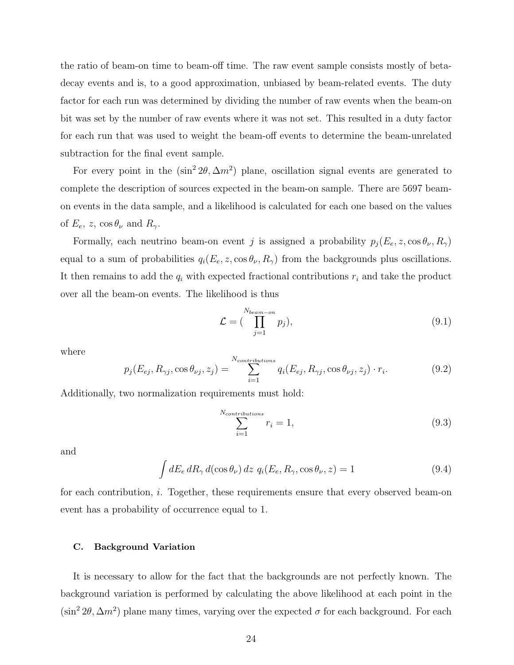the ratio of beam-on time to beam-off time. The raw event sample consists mostly of betadecay events and is, to a good approximation, unbiased by beam-related events. The duty factor for each run was determined by dividing the number of raw events when the beam-on bit was set by the number of raw events where it was not set. This resulted in a duty factor for each run that was used to weight the beam-off events to determine the beam-unrelated subtraction for the final event sample.

For every point in the  $(\sin^2 2\theta, \Delta m^2)$  plane, oscillation signal events are generated to complete the description of sources expected in the beam-on sample. There are 5697 beamon events in the data sample, and a likelihood is calculated for each one based on the values of  $E_e$ , z, cos  $\theta_\nu$  and  $R_\gamma$ .

Formally, each neutrino beam-on event j is assigned a probability  $p_j(E_e, z, \cos \theta_\nu, R_\gamma)$ equal to a sum of probabilities  $q_i(E_e, z, \cos \theta_\nu, R_\gamma)$  from the backgrounds plus oscillations. It then remains to add the  $q_i$  with expected fractional contributions  $r_i$  and take the product over all the beam-on events. The likelihood is thus

$$
\mathcal{L} = \left( \prod_{j=1}^{N_{beam-on}} p_j \right),\tag{9.1}
$$

where

$$
p_j(E_{ej}, R_{\gamma j}, \cos \theta_{\nu j}, z_j) = \sum_{i=1}^{N_{contributions}} q_i(E_{ej}, R_{\gamma j}, \cos \theta_{\nu j}, z_j) \cdot r_i.
$$
 (9.2)

Additionally, two normalization requirements must hold:

$$
\sum_{i=1}^{N_{contributions}} r_i = 1,\tag{9.3}
$$

and

$$
\int dE_e \, dR_\gamma \, d(\cos \theta_\nu) \, dz \, q_i(E_e, R_\gamma, \cos \theta_\nu, z) = 1 \tag{9.4}
$$

for each contribution, i. Together, these requirements ensure that every observed beam-on event has a probability of occurrence equal to 1.

#### C. Background Variation

It is necessary to allow for the fact that the backgrounds are not perfectly known. The background variation is performed by calculating the above likelihood at each point in the  $(\sin^2 2\theta, \Delta m^2)$  plane many times, varying over the expected  $\sigma$  for each background. For each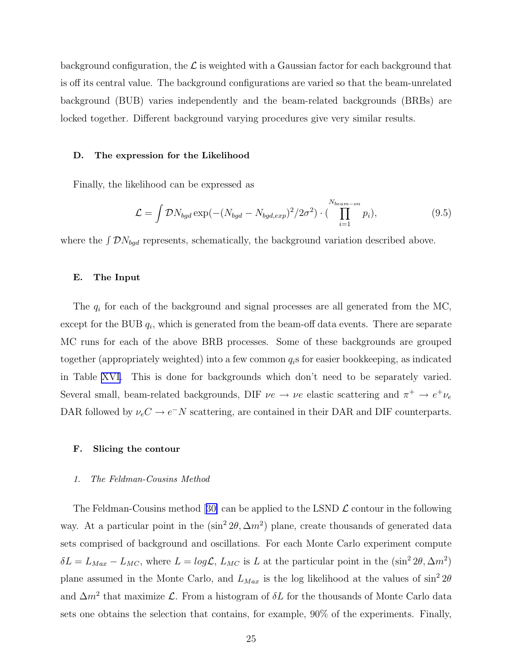background configuration, the  $\mathcal L$  is weighted with a Gaussian factor for each background that is off its central value. The background configurations are varied so that the beam-unrelated background (BUB) varies independently and the beam-related backgrounds (BRBs) are locked together. Different background varying procedures give very similar results.

#### D. The expression for the Likelihood

Finally, the likelihood can be expressed as

$$
\mathcal{L} = \int \mathcal{D}N_{bgd} \exp(-(N_{bgd} - N_{bgd,exp})^2/2\sigma^2) \cdot (\prod_{i=1}^{N_{beam-on}} p_i), \qquad (9.5)
$$

where the  $\int \mathcal{D}N_{bgd}$  represents, schematically, the background variation described above.

## E. The Input

The  $q_i$  for each of the background and signal processes are all generated from the MC, except for the BUB  $q_i$ , which is generated from the beam-off data events. There are separate MC runs for each of the above BRB processes. Some of these backgrounds are grouped together (appropriately weighted) into a few common  $q_i$ s for easier bookkeeping, as indicated in Table [XVI.](#page-40-0) This is done for backgrounds which don't need to be separately varied. Several small, beam-related backgrounds, DIF  $\nu e \rightarrow \nu e$  elastic scattering and  $\pi^+ \rightarrow e^+ \nu_e$ DAR followed by  $\nu_e C \rightarrow e^- N$  scattering, are contained in their DAR and DIF counterparts.

#### F. Slicing the contour

#### 1. The Feldman-Cousins Method

TheFeldman-Cousins method [[30\]](#page-69-0) can be applied to the LSND  $\mathcal L$  contour in the following way. At a particular point in the  $(\sin^2 2\theta, \Delta m^2)$  plane, create thousands of generated data sets comprised of background and oscillations. For each Monte Carlo experiment compute  $\delta L = L_{Max} - L_{MC}$ , where  $L = log \mathcal{L}$ ,  $L_{MC}$  is L at the particular point in the  $(sin^2 2\theta, \Delta m^2)$ plane assumed in the Monte Carlo, and  $L_{Max}$  is the log likelihood at the values of  $\sin^2 2\theta$ and  $\Delta m^2$  that maximize  $\mathcal{L}$ . From a histogram of  $\delta L$  for the thousands of Monte Carlo data sets one obtains the selection that contains, for example, 90% of the experiments. Finally,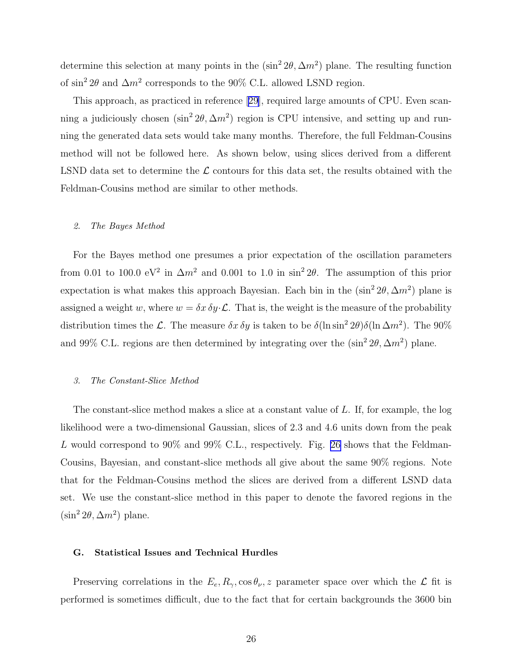determine this selection at many points in the  $(\sin^2 2\theta, \Delta m^2)$  plane. The resulting function of  $\sin^2 2\theta$  and  $\Delta m^2$  corresponds to the 90% C.L. allowed LSND region.

This approach, as practiced in reference [\[29\]](#page-69-0), required large amounts of CPU. Even scanning a judiciously chosen  $(\sin^2 2\theta, \Delta m^2)$  region is CPU intensive, and setting up and running the generated data sets would take many months. Therefore, the full Feldman-Cousins method will not be followed here. As shown below, using slices derived from a different LSND data set to determine the  $\mathcal L$  contours for this data set, the results obtained with the Feldman-Cousins method are similar to other methods.

## 2. The Bayes Method

For the Bayes method one presumes a prior expectation of the oscillation parameters from 0.01 to 100.0 eV<sup>2</sup> in  $\Delta m^2$  and 0.001 to 1.0 in sin<sup>2</sup> 2 $\theta$ . The assumption of this prior expectation is what makes this approach Bayesian. Each bin in the  $(\sin^2 2\theta, \Delta m^2)$  plane is assigned a weight w, where  $w = \delta x \, \delta y \cdot \mathcal{L}$ . That is, the weight is the measure of the probability distribution times the L. The measure  $\delta x \, \delta y$  is taken to be  $\delta (\ln \sin^2 2\theta) \delta (\ln \Delta m^2)$ . The 90% and 99% C.L. regions are then determined by integrating over the  $(\sin^2 2\theta, \Delta m^2)$  plane.

#### 3. The Constant-Slice Method

The constant-slice method makes a slice at a constant value of L. If, for example, the log likelihood were a two-dimensional Gaussian, slices of 2.3 and 4.6 units down from the peak L would correspond to 90% and 99% C.L., respectively. Fig. [26](#page-65-0) shows that the Feldman-Cousins, Bayesian, and constant-slice methods all give about the same 90% regions. Note that for the Feldman-Cousins method the slices are derived from a different LSND data set. We use the constant-slice method in this paper to denote the favored regions in the  $(\sin^2 2\theta, \Delta m^2)$  plane.

#### G. Statistical Issues and Technical Hurdles

Preserving correlations in the  $E_e, R_\gamma, \cos \theta_\nu, z$  parameter space over which the  $\mathcal L$  fit is performed is sometimes difficult, due to the fact that for certain backgrounds the 3600 bin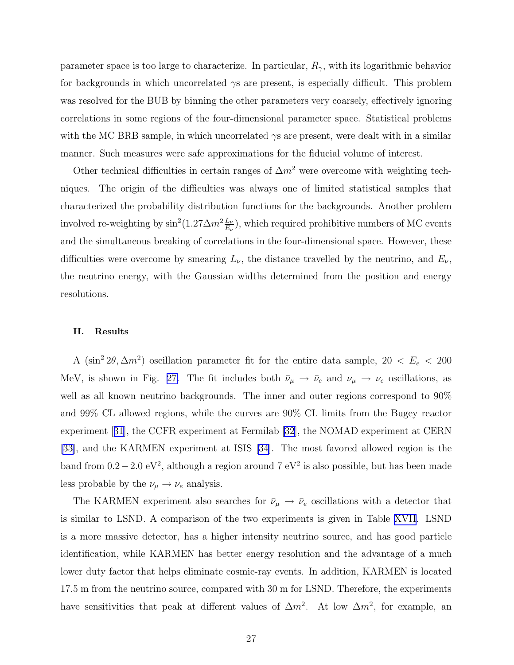parameter space is too large to characterize. In particular,  $R_{\gamma}$ , with its logarithmic behavior for backgrounds in which uncorrelated γs are present, is especially difficult. This problem was resolved for the BUB by binning the other parameters very coarsely, effectively ignoring correlations in some regions of the four-dimensional parameter space. Statistical problems with the MC BRB sample, in which uncorrelated  $\gamma s$  are present, were dealt with in a similar manner. Such measures were safe approximations for the fiducial volume of interest.

Other technical difficulties in certain ranges of  $\Delta m^2$  were overcome with weighting techniques. The origin of the difficulties was always one of limited statistical samples that characterized the probability distribution functions for the backgrounds. Another problem involved re-weighting by  $\sin^2(1.27\Delta m^2 \frac{L_\nu}{E_\nu})$ , which required prohibitive numbers of MC events and the simultaneous breaking of correlations in the four-dimensional space. However, these difficulties were overcome by smearing  $L_{\nu}$ , the distance travelled by the neutrino, and  $E_{\nu}$ , the neutrino energy, with the Gaussian widths determined from the position and energy resolutions.

## H. Results

A (sin<sup>2</sup> 2 $\theta$ ,  $\Delta m^2$ ) oscillation parameter fit for the entire data sample, 20 <  $E_e$  < 200 MeV, is shown in Fig. [27.](#page-66-0) The fit includes both  $\bar{\nu}_{\mu} \to \bar{\nu}_e$  and  $\nu_{\mu} \to \nu_e$  oscillations, as well as all known neutrino backgrounds. The inner and outer regions correspond to 90% and 99% CL allowed regions, while the curves are 90% CL limits from the Bugey reactor experiment[[31](#page-69-0)], the CCFR experiment at Fermilab [\[32](#page-69-0)], the NOMAD experiment at CERN [\[33](#page-69-0)], and the KARMEN experiment at ISIS [\[34](#page-69-0)]. The most favored allowed region is the band from  $0.2-2.0 \text{ eV}^2$ , although a region around 7 eV<sup>2</sup> is also possible, but has been made less probable by the  $\nu_{\mu} \rightarrow \nu_{e}$  analysis.

The KARMEN experiment also searches for  $\bar{\nu}_{\mu} \rightarrow \bar{\nu}_{e}$  oscillations with a detector that is similar to LSND. A comparison of the two experiments is given in Table [XVII.](#page-40-0) LSND is a more massive detector, has a higher intensity neutrino source, and has good particle identification, while KARMEN has better energy resolution and the advantage of a much lower duty factor that helps eliminate cosmic-ray events. In addition, KARMEN is located 17.5 m from the neutrino source, compared with 30 m for LSND. Therefore, the experiments have sensitivities that peak at different values of  $\Delta m^2$ . At low  $\Delta m^2$ , for example, an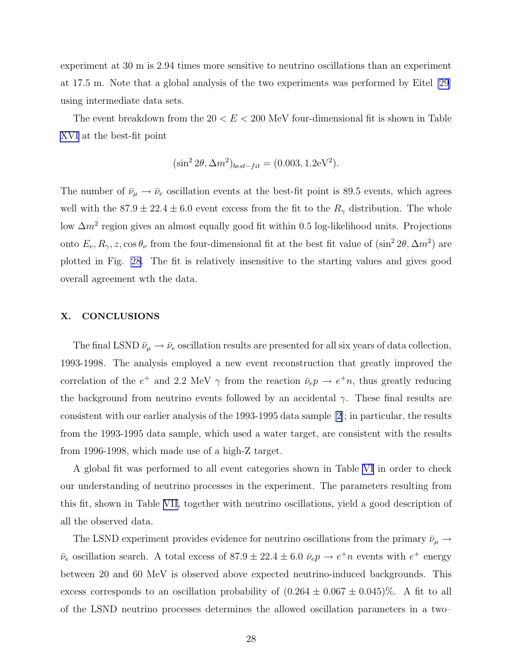experiment at 30 m is 2.94 times more sensitive to neutrino oscillations than an experiment at 17.5 m. Note that a global analysis of the two experiments was performed by Eitel [\[29\]](#page-69-0) using intermediate data sets.

The event breakdown from the  $20 < E < 200$  MeV four-dimensional fit is shown in Table [XVI](#page-40-0) at the best-fit point

$$
(\sin^2 2\theta, \Delta m^2)_{best-fit} = (0.003, 1.2 \text{eV}^2).
$$

The number of  $\bar{\nu}_{\mu} \to \bar{\nu}_{e}$  oscillation events at the best-fit point is 89.5 events, which agrees well with the  $87.9 \pm 22.4 \pm 6.0$  event excess from the fit to the  $R_{\gamma}$  distribution. The whole low  $\Delta m^2$  region gives an almost equally good fit within 0.5 log-likelihood units. Projections onto  $E_e, R_\gamma, z, \cos \theta_\nu$  from the four-dimensional fit at the best fit value of  $(\sin^2 2\theta, \Delta m^2)$  are plotted in Fig. [28](#page-67-0). The fit is relatively insensitive to the starting values and gives good overall agreement wth the data.

## X. CONCLUSIONS

The final LSND  $\bar{\nu}_{\mu} \rightarrow \bar{\nu}_{e}$  oscillation results are presented for all six years of data collection, 1993-1998. The analysis employed a new event reconstruction that greatly improved the correlation of the  $e^+$  and 2.2 MeV  $\gamma$  from the reaction  $\bar{\nu}_e p \to e^+ n$ , thus greatly reducing the background from neutrino events followed by an accidental  $\gamma$ . These final results are consistent with our earlier analysis of the 1993-1995 data sample [\[2\]](#page-68-0); in particular, the results from the 1993-1995 data sample, which used a water target, are consistent with the results from 1996-1998, which made use of a high-Z target.

A global fit was performed to all event categories shown in Table [VI](#page-34-0) in order to check our understanding of neutrino processes in the experiment. The parameters resulting from this fit, shown in Table [VII](#page-35-0), together with neutrino oscillations, yield a good description of all the observed data.

The LSND experiment provides evidence for neutrino oscillations from the primary  $\bar{\nu}_{\mu} \rightarrow$  $\bar{\nu}_e$  oscillation search. A total excess of 87.9  $\pm$  22.4  $\pm$  6.0  $\bar{\nu}_e p \rightarrow e^+ n$  events with  $e^+$  energy between 20 and 60 MeV is observed above expected neutrino-induced backgrounds. This excess corresponds to an oscillation probability of  $(0.264 \pm 0.067 \pm 0.045)\%$ . A fit to all of the LSND neutrino processes determines the allowed oscillation parameters in a two–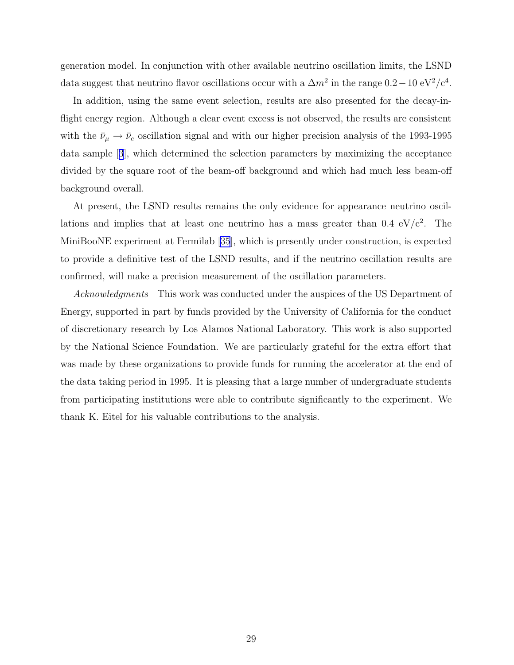generation model. In conjunction with other available neutrino oscillation limits, the LSND data suggest that neutrino flavor oscillations occur with a  $\Delta m^2$  in the range  $0.2-10 \text{ eV}^2/\text{c}^4$ .

In addition, using the same event selection, results are also presented for the decay-inflight energy region. Although a clear event excess is not observed, the results are consistent with the  $\bar{\nu}_{\mu} \rightarrow \bar{\nu}_{e}$  oscillation signal and with our higher precision analysis of the 1993-1995 data sample[[3](#page-68-0)], which determined the selection parameters by maximizing the acceptance divided by the square root of the beam-off background and which had much less beam-off background overall.

At present, the LSND results remains the only evidence for appearance neutrino oscillations and implies that at least one neutrino has a mass greater than  $0.4 \text{ eV}/c^2$ . The MiniBooNE experiment at Fermilab[[35](#page-69-0)], which is presently under construction, is expected to provide a definitive test of the LSND results, and if the neutrino oscillation results are confirmed, will make a precision measurement of the oscillation parameters.

Acknowledgments This work was conducted under the auspices of the US Department of Energy, supported in part by funds provided by the University of California for the conduct of discretionary research by Los Alamos National Laboratory. This work is also supported by the National Science Foundation. We are particularly grateful for the extra effort that was made by these organizations to provide funds for running the accelerator at the end of the data taking period in 1995. It is pleasing that a large number of undergraduate students from participating institutions were able to contribute significantly to the experiment. We thank K. Eitel for his valuable contributions to the analysis.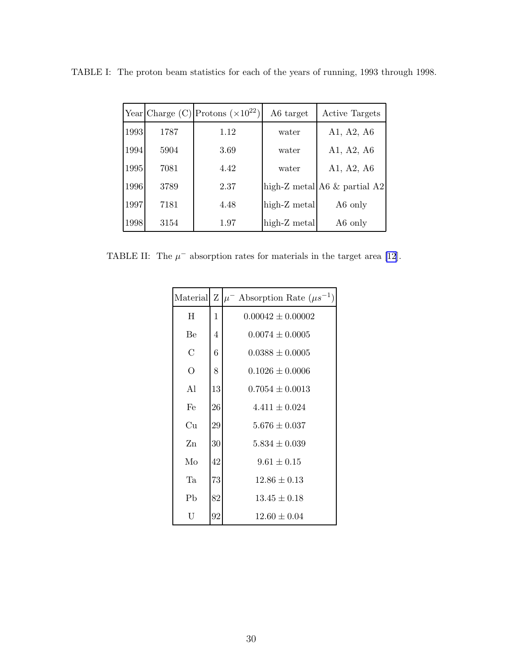|      |      | Year Charge (C) Protons ( $\times 10^{22}$ ) | A6 target    | <b>Active Targets</b>             |
|------|------|----------------------------------------------|--------------|-----------------------------------|
| 1993 | 1787 | 1.12                                         | water        | A1, A2, A6                        |
| 1994 | 5904 | 3.69                                         | water        | A1, A2, A6                        |
| 1995 | 7081 | 4.42                                         | water        | A1, A2, A6                        |
| 1996 | 3789 | 2.37                                         |              | high-Z metal $A6 \&$ partial $A2$ |
| 1997 | 7181 | 4.48                                         | high-Z metal | A6 only                           |
| 1998 | 3154 | 1.97                                         | high-Z metal | A6 only                           |

<span id="page-31-0"></span>TABLE I: The proton beam statistics for each of the years of running, 1993 through 1998.

TABLE II: The  $\mu^-$  absorption rates for materials in the target area [\[12](#page-68-0)].

|                |    | Material Z $ \mu^-$ Absorption Rate $(\mu s^{-1})$ |
|----------------|----|----------------------------------------------------|
| H              | 1  | $0.00042 \pm 0.00002$                              |
| Be             | 4  | $0.0074 \pm 0.0005$                                |
| С              | 6  | $0.0388 \pm 0.0005$                                |
| $\overline{O}$ | 8  | $0.1026 \pm 0.0006$                                |
| A1             | 13 | $0.7054 \pm 0.0013$                                |
| Fe             | 26 | $4.411 \pm 0.024$                                  |
| Сu             | 29 | $5.676 \pm 0.037$                                  |
| Zn             | 30 | $5.834 \pm 0.039$                                  |
| Mo             | 42 | $9.61 \pm 0.15$                                    |
| Ta             | 73 | $12.86 \pm 0.13$                                   |
| Pb             | 82 | $13.45 \pm 0.18$                                   |
| U              | 92 | $12.60 \pm 0.04$                                   |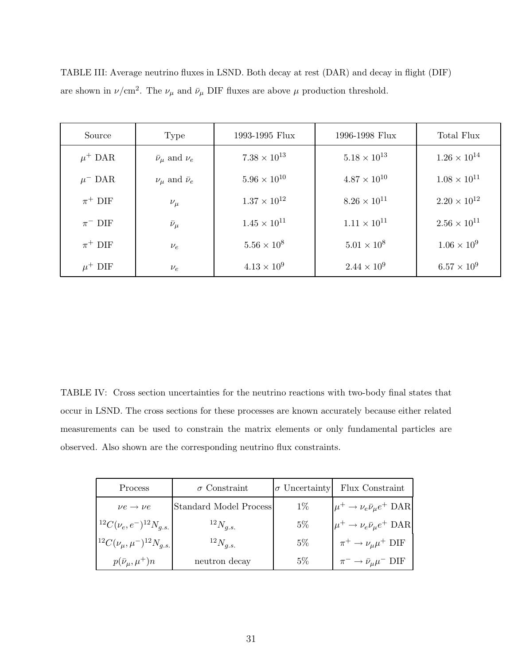| Source                 | Type                            | 1993-1995 Flux        | 1996-1998 Flux        | Total Flux            |
|------------------------|---------------------------------|-----------------------|-----------------------|-----------------------|
| $\mu^+$ DAR            | $\bar{\nu}_{\mu}$ and $\nu_{e}$ | $7.38 \times 10^{13}$ | $5.18 \times 10^{13}$ | $1.26 \times 10^{14}$ |
| $\mu$ <sup>-</sup> DAR | $\nu_{\mu}$ and $\bar{\nu}_{e}$ | $5.96\times10^{10}$   | $4.87 \times 10^{10}$ | $1.08 \times 10^{11}$ |
| $\pi^+$ DIF            | $\nu_\mu$                       | $1.37 \times 10^{12}$ | $8.26 \times 10^{11}$ | $2.20 \times 10^{12}$ |
| $\pi^-$ DIF            | $\bar{\nu}_\mu$                 | $1.45 \times 10^{11}$ | $1.11 \times 10^{11}$ | $2.56 \times 10^{11}$ |
| $\pi^+$ DIF            | $\nu_e$                         | $5.56 \times 10^8$    | $5.01 \times 10^8$    | $1.06 \times 10^{9}$  |
| $\mu^+$ DIF            | $\nu_e$                         | $4.13 \times 10^{9}$  | $2.44 \times 10^{9}$  | $6.57 \times 10^{9}$  |

<span id="page-32-0"></span>TABLE III: Average neutrino fluxes in LSND. Both decay at rest (DAR) and decay in flight (DIF) are shown in  $\nu$ /cm<sup>2</sup>. The  $\nu_{\mu}$  and  $\bar{\nu}_{\mu}$  DIF fluxes are above  $\mu$  production threshold.

TABLE IV: Cross section uncertainties for the neutrino reactions with two-body final states that occur in LSND. The cross sections for these processes are known accurately because either related measurements can be used to constrain the matrix elements or only fundamental particles are observed. Also shown are the corresponding neutrino flux constraints.

| Process                                     | $\sigma$ Constraint    | $\sigma$ Uncertainty | Flux Constraint                                 |
|---------------------------------------------|------------------------|----------------------|-------------------------------------------------|
| $\nu e \rightarrow \nu e$                   | Standard Model Process | $1\%$                | $\mu^+ \rightarrow \nu_e \bar{\nu}_\mu e^+$ DAR |
| $1^2C(\nu_e,e^-)^{12}N_{g.s.}$              | $^{12}N_{q.s.}$        | $5\%$                | $ \mu^+ \to \nu_e \bar{\nu}_\mu e^+$ DAR        |
| $ ^{12}C(\nu_{\mu}, \mu^{-})^{12}N_{q.s.} $ | $^{12}N_{q.s.}$        | $5\%$                | $\pi^+ \rightarrow \nu_\mu \mu^+$ DIF           |
| $p(\bar{\nu}_\mu,\mu^+)n$                   | neutron decay          | $5\%$                | $\pi^- \to \bar{\nu}_\mu \mu^- \text{ DIF}$     |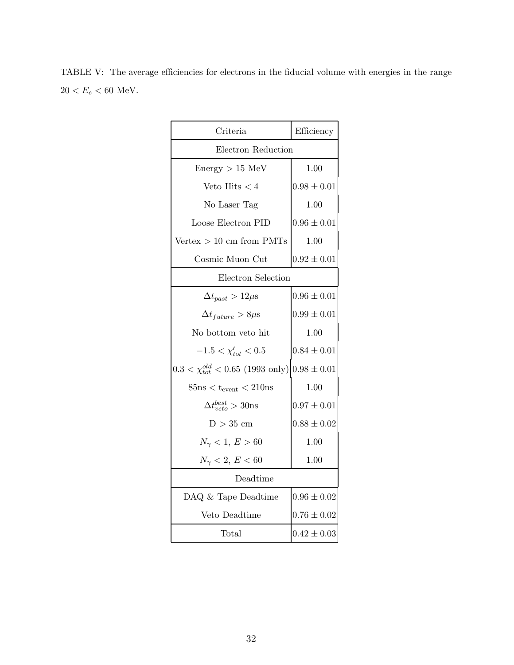<span id="page-33-0"></span>TABLE V: The average efficiencies for electrons in the fiducial volume with energies in the range  $20 < E_e < 60$  MeV.

| Criteria                                                    | Efficiency      |  |  |
|-------------------------------------------------------------|-----------------|--|--|
| Electron Reduction                                          |                 |  |  |
| $Energy > 15$ MeV                                           | 1.00            |  |  |
| Veto Hits $< 4$                                             | $0.98 \pm 0.01$ |  |  |
| No Laser Tag                                                | 1.00            |  |  |
| Loose Electron PID                                          | $0.96 \pm 0.01$ |  |  |
| $Vertex > 10$ cm from PMTs                                  | 1.00            |  |  |
| Cosmic Muon Cut                                             | $0.92 \pm 0.01$ |  |  |
| Electron Selection                                          |                 |  |  |
| $\Delta t_{past} > 12 \mu s$                                | $0.96 \pm 0.01$ |  |  |
| $\Delta t_{future} > 8 \mu s$                               | $0.99 \pm 0.01$ |  |  |
| No bottom veto hit                                          | 1.00            |  |  |
| $-1.5 < \chi'_{tot} < 0.5$                                  | $0.84 \pm 0.01$ |  |  |
| $0.3 < \chi_{tot}^{old} < 0.65$ (1993 only) $0.98 \pm 0.01$ |                 |  |  |
| $85ns < t_{event} < 210ns$                                  | 1.00            |  |  |
| $\Delta t_{neto}^{best} > 30$ ns                            | $0.97 \pm 0.01$ |  |  |
| $D > 35$ cm                                                 | $0.88 \pm 0.02$ |  |  |
| $N_{\gamma} < 1, E > 60$                                    | 1.00            |  |  |
| $N_{\gamma} < 2, E < 60$                                    | 1.00            |  |  |
| Deadtime                                                    |                 |  |  |
| DAQ & Tape Deadtime                                         | $0.96 \pm 0.02$ |  |  |
| Veto Deadtime                                               | $0.76 \pm 0.02$ |  |  |
| Total                                                       | $0.42 \pm 0.03$ |  |  |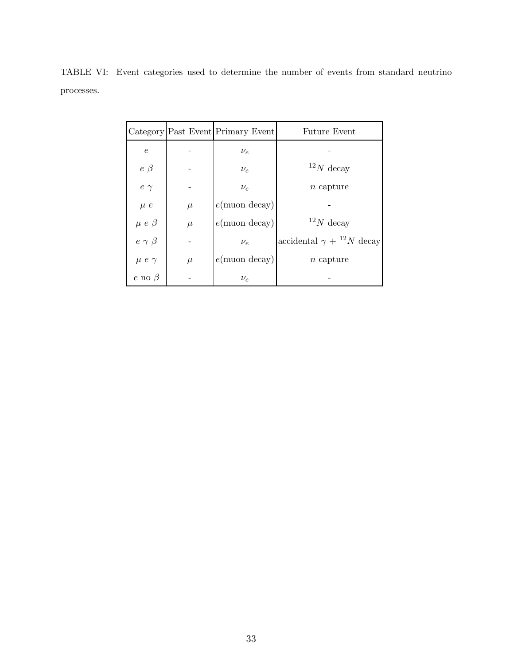|                   |       | Category Past Event Primary Event | <b>Future Event</b>                  |
|-------------------|-------|-----------------------------------|--------------------------------------|
| $\epsilon$        |       | $\nu_e$                           |                                      |
| $e \beta$         |       | $\nu_e$                           | $^{12}N$ decay                       |
| $e$ $\gamma$      |       | $\nu_e$                           | $n$ capture                          |
| $\mu$ $e$         | $\mu$ | $e(\text{muon decay})$            |                                      |
| $\mu$ $e$ $\beta$ | $\mu$ | $e$ (muon decay)                  | $^{12}N$ decay                       |
| $e \gamma \beta$  |       | $\nu_e$                           | accidental $\gamma + {}^{12}N$ decay |
| $\mu e \gamma$    | $\mu$ | $e$ (muon decay)                  | $n$ capture                          |
| $e$ no $\beta$    |       | $\nu_e$                           |                                      |

<span id="page-34-0"></span>TABLE VI: Event categories used to determine the number of events from standard neutrino processes.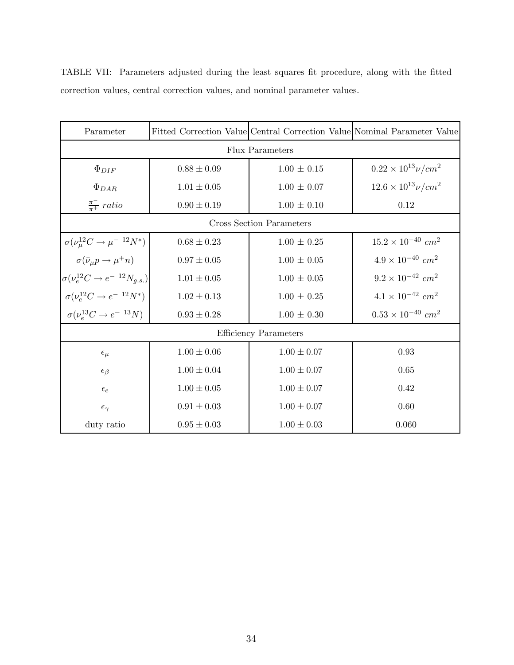| Parameter                                          |                        |                              | Fitted Correction Value Central Correction Value Nominal Parameter Value |  |  |  |
|----------------------------------------------------|------------------------|------------------------------|--------------------------------------------------------------------------|--|--|--|
|                                                    | <b>Flux Parameters</b> |                              |                                                                          |  |  |  |
| $\Phi_{DIF}$                                       | $0.88 \pm 0.09$        | $1.00 \pm 0.15$              | $0.22 \times 10^{13} \nu/cm^2$                                           |  |  |  |
| $\Phi_{DAR}$                                       | $1.01 \pm 0.05$        | $1.00 \pm 0.07$              | $12.6 \times 10^{13} \nu/cm^2$                                           |  |  |  |
| $\frac{\pi^-}{\pi^+}$ ratio                        | $0.90 \pm 0.19$        | $1.00 \pm 0.10$              | 0.12                                                                     |  |  |  |
|                                                    |                        | Cross Section Parameters     |                                                                          |  |  |  |
| $\sigma(\nu_{\mu}^{12}C \rightarrow \mu^{-12}N^*)$ | $0.68 \pm 0.23$        | $1.00 \pm 0.25$              | $15.2 \times 10^{-40}$ cm <sup>2</sup>                                   |  |  |  |
| $\sigma(\bar{\nu}_\mu p \to \mu^+ n)$              | $0.97 \pm 0.05$        | $1.00 \pm 0.05$              | $4.9\times10^{-40}$ $cm^2$                                               |  |  |  |
| $\sigma(\nu_e^{12}C \to e^{-12}N_{g.s.})$          | $1.01 \pm 0.05$        | $1.00 \pm 0.05$              | $9.2 \times 10^{-42}$ cm <sup>2</sup>                                    |  |  |  |
| $\sigma(\nu_e^{12}C \rightarrow e^{-~12} N^*)$     | $1.02 \pm 0.13$        | $1.00 \pm 0.25$              | $4.1\times10^{-42}$ $cm^2$                                               |  |  |  |
| $\sigma(\nu_e^{13}C \rightarrow e^{-13}N)$         | $0.93 \pm 0.28$        | $1.00 \pm 0.30$              | $0.53 \times 10^{-40}$ cm <sup>2</sup>                                   |  |  |  |
|                                                    |                        | <b>Efficiency Parameters</b> |                                                                          |  |  |  |
| $\epsilon_{\mu}$                                   | $1.00 \pm 0.06$        | $1.00 \pm 0.07$              | 0.93                                                                     |  |  |  |
| $\epsilon_{\beta}$                                 | $1.00 \pm 0.04$        | $1.00 \pm 0.07$              | 0.65                                                                     |  |  |  |
| $\epsilon_e$                                       | $1.00 \pm 0.05$        | $1.00 \pm 0.07$              | 0.42                                                                     |  |  |  |
| $\epsilon_{\gamma}$                                | $0.91 \pm 0.03$        | $1.00 \pm 0.07$              | 0.60                                                                     |  |  |  |
| duty ratio                                         | $0.95 \pm 0.03$        | $1.00 \pm 0.03$              | 0.060                                                                    |  |  |  |

<span id="page-35-0"></span>TABLE VII: Parameters adjusted during the least squares fit procedure, along with the fitted correction values, central correction values, and nominal parameter values.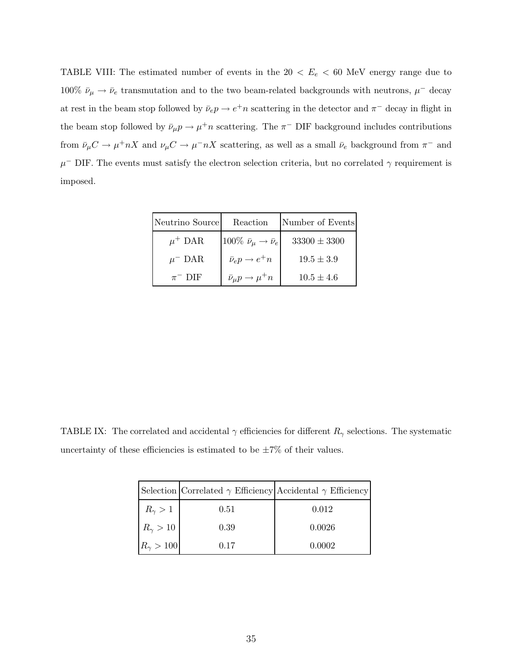<span id="page-36-0"></span>TABLE VIII: The estimated number of events in the  $20 < E_e < 60$  MeV energy range due to 100%  $\bar{\nu}_{\mu} \to \bar{\nu}_{e}$  transmutation and to the two beam-related backgrounds with neutrons,  $\mu^{-}$  decay at rest in the beam stop followed by  $\bar{\nu}_e p \to e^+ n$  scattering in the detector and  $\pi^-$  decay in flight in the beam stop followed by  $\bar{\nu}_{\mu} p \to \mu^+ n$  scattering. The  $\pi^-$  DIF background includes contributions from  $\bar{\nu}_{\mu}C \to \mu^+ nX$  and  $\nu_{\mu}C \to \mu^- nX$  scattering, as well as a small  $\bar{\nu}_e$  background from  $\pi^-$  and  $\mu$ <sup>-</sup> DIF. The events must satisfy the electron selection criteria, but no correlated  $\gamma$  requirement is imposed.

| Neutrino Source        | Reaction                                     | Number of Events |
|------------------------|----------------------------------------------|------------------|
| $\mu^+$ DAR            | 100% $\bar{\nu}_\mu \rightarrow \bar{\nu}_e$ | $33300 \pm 3300$ |
| $\mu$ <sup>-</sup> DAR | $\bar{\nu}_e p \rightarrow e^+ n$            | $19.5 \pm 3.9$   |
| $\pi^-$ DIF            | $\bar{\nu}_{\mu} p \rightarrow \mu^+ n$      | $10.5 \pm 4.6$   |

TABLE IX: The correlated and accidental  $\gamma$  efficiencies for different  $R_{\gamma}$  selections. The systematic uncertainty of these efficiencies is estimated to be  $\pm 7\%$  of their values.

|                    | Selection Correlated $\gamma$ Efficiency Accidental $\gamma$ Efficiency |        |
|--------------------|-------------------------------------------------------------------------|--------|
| $R_{\gamma} > 1$   | 0.51                                                                    | 0.012  |
| $R_{\gamma} > 10$  | 0.39                                                                    | 0.0026 |
| $R_{\gamma} > 100$ | 0.17                                                                    | 0.0002 |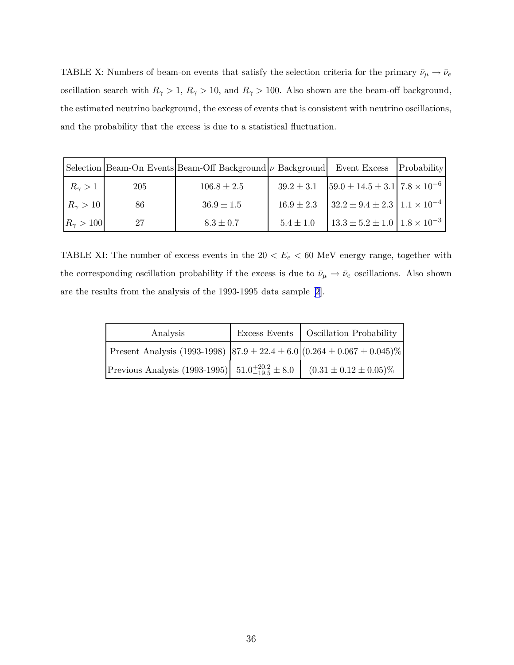<span id="page-37-0"></span>TABLE X: Numbers of beam-on events that satisfy the selection criteria for the primary  $\bar{\nu}_\mu \to \bar{\nu}_e$ oscillation search with  $R_{\gamma} > 1$ ,  $R_{\gamma} > 10$ , and  $R_{\gamma} > 100$ . Also shown are the beam-off background, the estimated neutrino background, the excess of events that is consistent with neutrino oscillations, and the probability that the excess is due to a statistical fluctuation.

|                      |     | Selection Beam-On Events Beam-Off Background $\nu$ Background Event Excess |                |                                                | Probability |
|----------------------|-----|----------------------------------------------------------------------------|----------------|------------------------------------------------|-------------|
| $R_{\gamma} > 1$     | 205 | $106.8 \pm 2.5$                                                            | $39.2 \pm 3.1$ | $[59.0 \pm 14.5 \pm 3.1]$ $7.8 \times 10^{-6}$ |             |
| $R_{\gamma} > 10$    | 86  | $36.9 \pm 1.5$                                                             | $16.9 \pm 2.3$ | $32.2 \pm 9.4 \pm 2.3 \pm 1.1 \times 10^{-4}$  |             |
| $ R_{\gamma} > 100 $ | 27  | $8.3 \pm 0.7$                                                              | $5.4 \pm 1.0$  | $13.3 \pm 5.2 \pm 1.0$ $1.8 \times 10^{-3}$    |             |

TABLE XI: The number of excess events in the  $20 < E_e < 60$  MeV energy range, together with the corresponding oscillation probability if the excess is due to  $\bar{\nu}_{\mu} \to \bar{\nu}_e$  oscillations. Also shown are the results from the analysis of the 1993-1995 data sample[[2](#page-68-0)].

| Analysis                                                                                | Excess Events   Oscillation Probability |
|-----------------------------------------------------------------------------------------|-----------------------------------------|
| Present Analysis (1993-1998) $ 87.9 \pm 22.4 \pm 6.0 $ (0.264 $\pm$ 0.067 $\pm$ 0.045)% |                                         |
| Previous Analysis (1993-1995) $51.0^{+20.2}_{-19.5} \pm 8.0$                            | $(0.31 \pm 0.12 \pm 0.05)\%$            |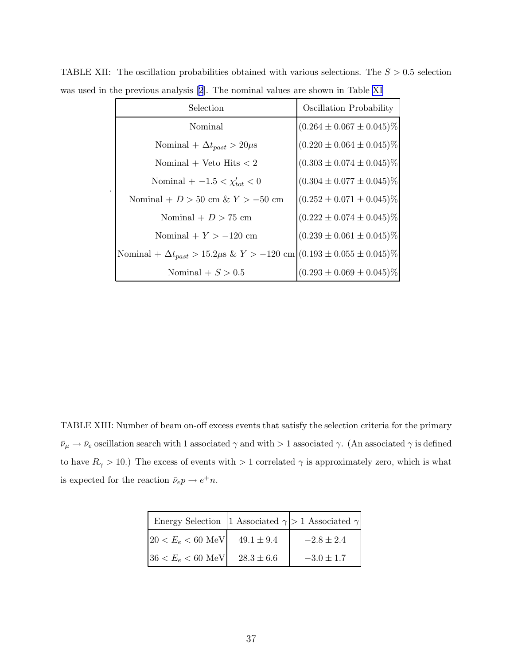| Selection                                                                                      | Oscillation Probability         |
|------------------------------------------------------------------------------------------------|---------------------------------|
| Nominal                                                                                        | $(0.264 \pm 0.067 \pm 0.045)\%$ |
| Nominal + $\Delta t_{past} > 20 \mu s$                                                         | $(0.220 \pm 0.064 \pm 0.045)\%$ |
| Nominal + Veto Hits $<$ 2                                                                      | $(0.303 \pm 0.074 \pm 0.045)\%$ |
| Nominal + $-1.5 < \chi'_{tot} < 0$                                                             | $(0.304 \pm 0.077 \pm 0.045)\%$ |
| Nominal + $D > 50$ cm & $Y > -50$ cm                                                           | $(0.252 \pm 0.071 \pm 0.045)\%$ |
| Nominal + $D > 75$ cm                                                                          | $(0.222 \pm 0.074 \pm 0.045)\%$ |
| Nominal + $Y > -120$ cm                                                                        | $(0.239 \pm 0.061 \pm 0.045)\%$ |
| Nominal + $\Delta t_{past} > 15.2 \mu s \& Y > -120 \text{ cm}  (0.193 \pm 0.055 \pm 0.045)\%$ |                                 |
| Nominal $+ S > 0.5$                                                                            | $(0.293 \pm 0.069 \pm 0.045)\%$ |

.

<span id="page-38-0"></span>TABLE XII: The oscillation probabilities obtained with various selections. The  $S > 0.5$  selection was used in the previous analysis[[2](#page-68-0)]. The nominal values are shown in Table [XI](#page-37-0)

TABLE XIII: Number of beam on-off excess events that satisfy the selection criteria for the primary  $\bar\nu_\mu\to\bar\nu_e$  oscillation search with 1 associated  $\gamma$  and with  $>1$  associated  $\gamma.$  (An associated  $\gamma$  is defined to have  $R_{\gamma} > 10$ .) The excess of events with  $> 1$  correlated  $\gamma$  is approximately zero, which is what is expected for the reaction  $\bar{\nu}_e p \to e^+ n$ .

| Energy Selection 1 Associated $\gamma$ > 1 Associated $\gamma$ |                |                |
|----------------------------------------------------------------|----------------|----------------|
| $ 20 < E_e < 60$ MeV                                           | $49.1 \pm 9.4$ | $-2.8 \pm 2.4$ |
| $36 < E_e < 60$ MeV                                            | $28.3 \pm 6.6$ | $-3.0 \pm 1.7$ |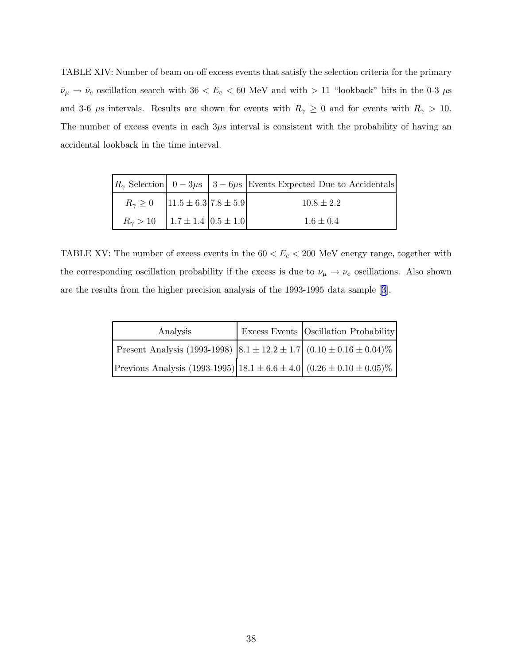<span id="page-39-0"></span>TABLE XIV: Number of beam on-off excess events that satisfy the selection criteria for the primary  $\bar{\nu}_{\mu} \to \bar{\nu}_e$  oscillation search with  $36 < E_e < 60$  MeV and with  $> 11$  "lookback" hits in the 0-3  $\mu$ s and 3-6  $\mu$ s intervals. Results are shown for events with  $R_{\gamma} \ge 0$  and for events with  $R_{\gamma} > 10$ . The number of excess events in each  $3\mu s$  interval is consistent with the probability of having an accidental lookback in the time interval.

|                                             |  | $ R_{\gamma}$ Selection $ 0-3\mu s $ 3 – 6 $\mu s$ Events Expected Due to Accidentals |
|---------------------------------------------|--|---------------------------------------------------------------------------------------|
| $R_{\gamma} \ge 0$   11.5 ± 6.3   7.8 ± 5.9 |  | $10.8 \pm 2.2$                                                                        |
| $R_{\gamma} > 10$   1.7 ± 1.4   0.5 ± 1.0   |  | $1.6 \pm 0.4$                                                                         |

TABLE XV: The number of excess events in the  $60 < E_e < 200$  MeV energy range, together with the corresponding oscillation probability if the excess is due to  $\nu_{\mu} \to \nu_{e}$  oscillations. Also shown are the results from the higher precision analysis of the 1993-1995 data sample[[3](#page-68-0)].

| Analysis                                                                                       | <b>Excess Events Oscillation Probability</b> |
|------------------------------------------------------------------------------------------------|----------------------------------------------|
| Present Analysis (1993-1998) $\left[8.1 \pm 12.2 \pm 1.7\right]$ (0.10 $\pm$ 0.16 $\pm$ 0.04)% |                                              |
| Previous Analysis (1993-1995) $ 18.1 \pm 6.6 \pm 4.0 $ (0.26 $\pm$ 0.10 $\pm$ 0.05)%           |                                              |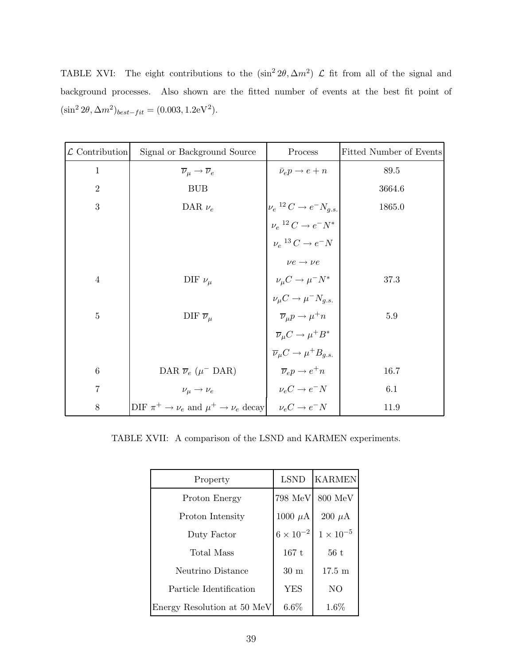<span id="page-40-0"></span>TABLE XVI: The eight contributions to the  $(\sin^2 2\theta, \Delta m^2)$   $\mathcal L$  fit from all of the signal and background processes. Also shown are the fitted number of events at the best fit point of  $(\sin^2 2\theta, \Delta m^2)_{best-fit} = (0.003, 1.2 \text{eV}^2).$ 

| $\mathcal L$ Contribution | Signal or Background Source                                           | Process                                             | Fitted Number of Events |
|---------------------------|-----------------------------------------------------------------------|-----------------------------------------------------|-------------------------|
| $\mathbf 1$               | $\overline{\nu}_{\mu} \rightarrow \overline{\nu}_{e}$                 | $\bar{\nu}_e p \rightarrow e + n$                   | 89.5                    |
| $\overline{2}$            | <b>BUB</b>                                                            |                                                     | 3664.6                  |
| 3                         | DAR $\nu_e$                                                           | $\nu_e$ <sup>12</sup> $C \rightarrow e^- N_{g.s.}$  | 1865.0                  |
|                           |                                                                       | $\nu_e{}^{12}C \to e^-N^*$                          |                         |
|                           |                                                                       | $\nu_e$ <sup>13</sup> $C \rightarrow e^- N$         |                         |
|                           |                                                                       | $\nu e \rightarrow \nu e$                           |                         |
| $\overline{4}$            | DIF $\nu_\mu$                                                         | $\nu_\mu C \rightarrow \mu^- N^*$                   | 37.3                    |
|                           |                                                                       | $\nu_{\mu} C \rightarrow \mu^{-} N_{q.s.}$          |                         |
| $\overline{5}$            | DIF $\overline{\nu}_{\mu}$                                            | $\overline{\nu}_\mu p \to \mu^+ n$                  | 5.9                     |
|                           |                                                                       | $\overline{\nu}_{\mu} C \rightarrow \mu^+ B^*$      |                         |
|                           |                                                                       | $\overline{\nu}_{\mu}C \rightarrow \mu^{+}B_{q.s.}$ |                         |
| $\boldsymbol{6}$          | DAR $\overline{\nu}_e$ ( $\mu$ <sup>-</sup> DAR)                      | $\overline{\nu}_e p \rightarrow e^+ n$              | 16.7                    |
| $\overline{7}$            | $\nu_\mu \rightarrow \nu_e$                                           | $\nu_e C \rightarrow e^- N$                         | 6.1                     |
| 8                         | DIF $\pi^+ \to \nu_e$ and $\mu^+ \to \nu_e$ decay $\nu_e C \to e^- N$ |                                                     | 11.9                    |

TABLE XVII: A comparison of the LSND and KARMEN experiments.

| Property                    | <b>LSND</b>        | <b>KARMEN</b>    |
|-----------------------------|--------------------|------------------|
| Proton Energy               | 798 MeV            | 800 MeV          |
| Proton Intensity            | 1000 $\mu$ A       | $200 \mu A$      |
| Duty Factor                 | $6 \times 10^{-2}$ | $1\times10^{-5}$ |
| Total Mass                  | 167t               | 56t              |
| Neutrino Distance           | 30 m               | $17.5 \text{ m}$ |
| Particle Identification     | YES                | N <sub>O</sub>   |
| Energy Resolution at 50 MeV | 6.6%               | $1.6\%$          |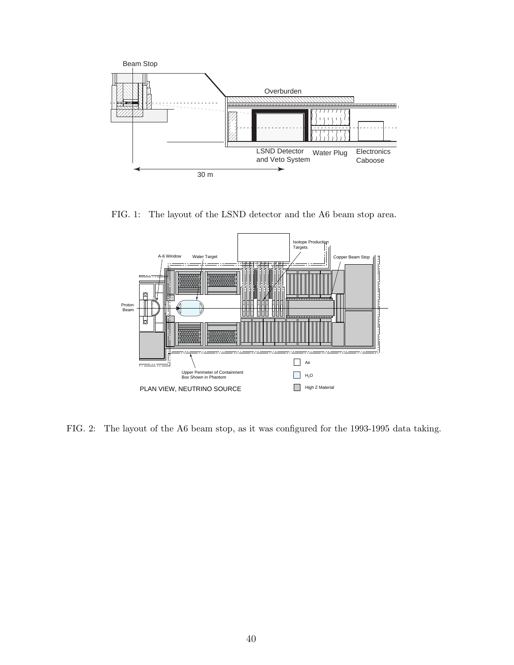<span id="page-41-0"></span>

FIG. 1: The layout of the LSND detector and the A6 beam stop area.



FIG. 2: The layout of the A6 beam stop, as it was configured for the 1993-1995 data taking.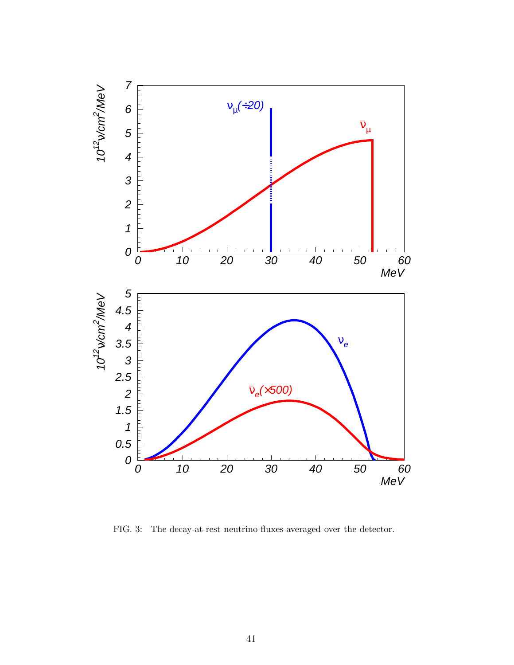<span id="page-42-0"></span>

FIG. 3: The decay-at-rest neutrino fluxes averaged over the detector.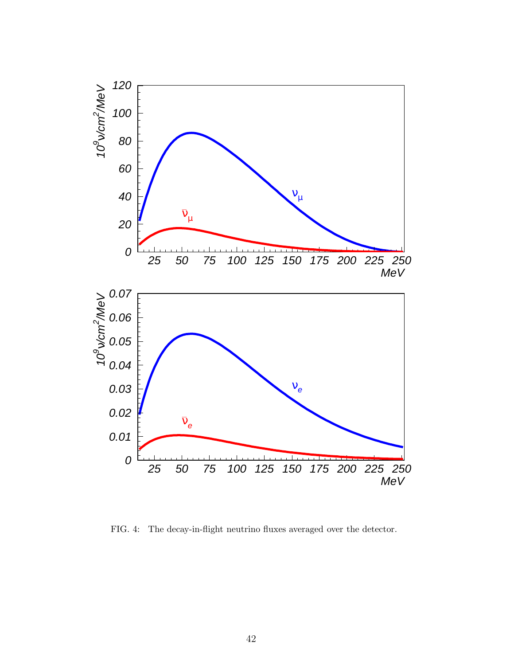<span id="page-43-0"></span>

FIG. 4: The decay-in-flight neutrino fluxes averaged over the detector.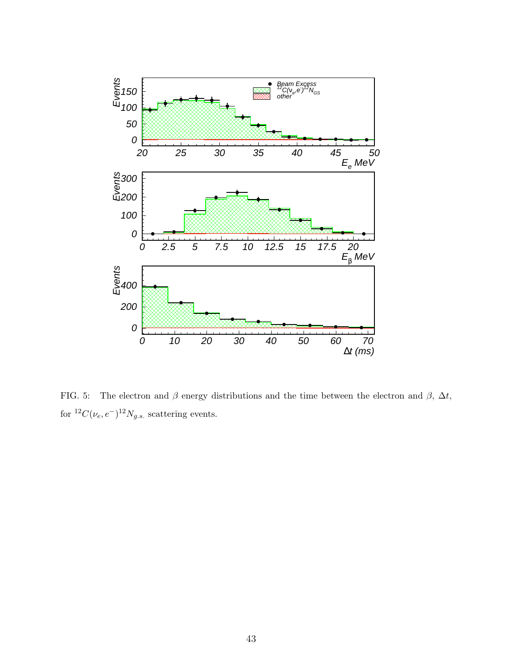<span id="page-44-0"></span>

FIG. 5: The electron and  $\beta$  energy distributions and the time between the electron and  $\beta$ ,  $\Delta t$ , for  ${}^{12}C(\nu_e, e^-){}^{12}N_{g.s.}$  scattering events.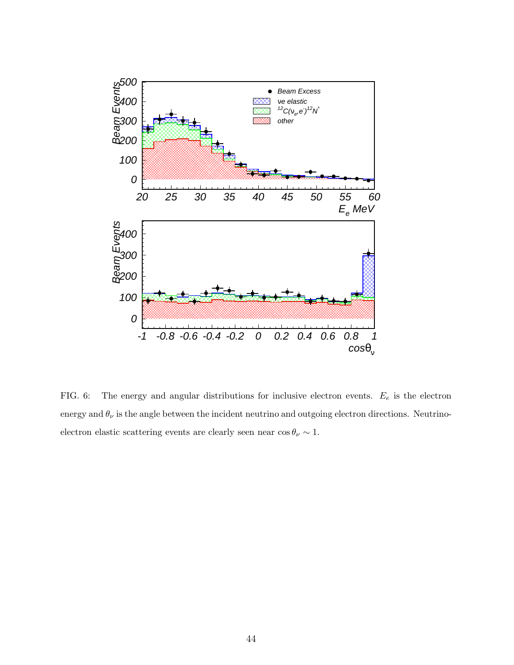<span id="page-45-0"></span>

FIG. 6: The energy and angular distributions for inclusive electron events.  $E_e$  is the electron energy and  $\theta_{\nu}$  is the angle between the incident neutrino and outgoing electron directions. Neutrinoelectron elastic scattering events are clearly seen near  $\cos \theta_{\nu} \sim 1$ .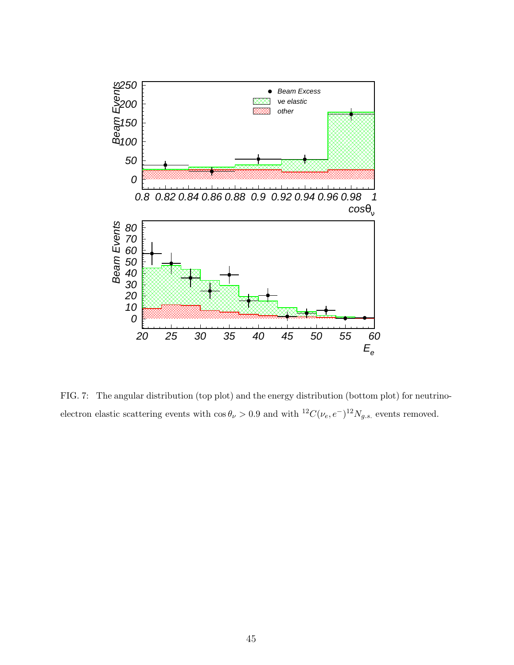<span id="page-46-0"></span>

FIG. 7: The angular distribution (top plot) and the energy distribution (bottom plot) for neutrinoelectron elastic scattering events with  $\cos \theta_{\nu} > 0.9$  and with  ${}^{12}C(\nu_e, e^-){}^{12}N_{g.s.}$  events removed.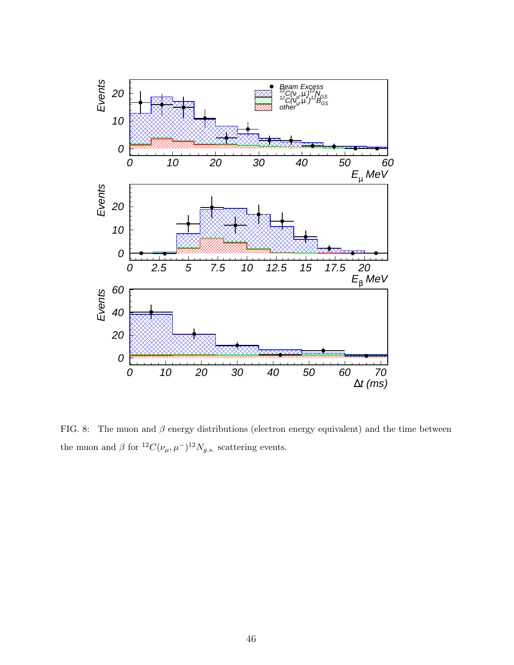<span id="page-47-0"></span>

FIG. 8: The muon and  $\beta$  energy distributions (electron energy equivalent) and the time between the muon and  $\beta$  for  ${}^{12}C(\nu_{\mu}, \mu^{-}){}^{12}N_{g.s.}$  scattering events.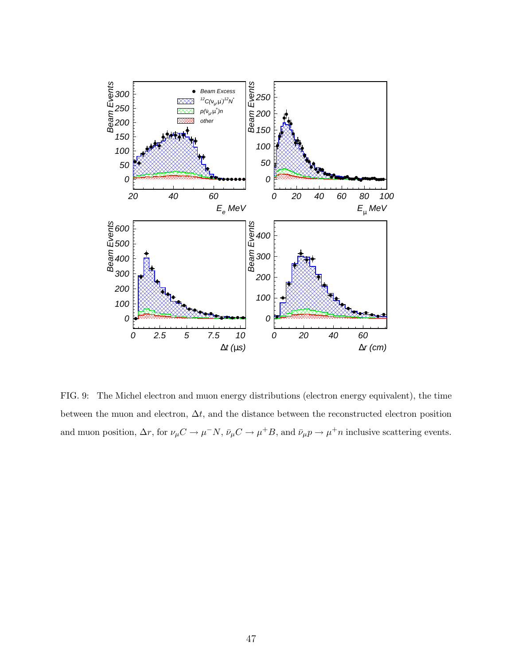<span id="page-48-0"></span>

FIG. 9: The Michel electron and muon energy distributions (electron energy equivalent), the time between the muon and electron,  $\Delta t$ , and the distance between the reconstructed electron position and muon position,  $\Delta r$ , for  $\nu_\mu C \to \mu^- N$ ,  $\bar{\nu}_\mu C \to \mu^+ B$ , and  $\bar{\nu}_\mu p \to \mu^+ n$  inclusive scattering events.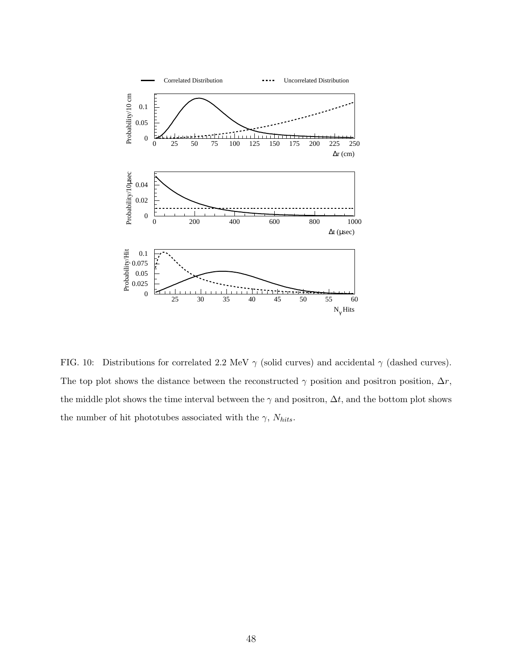<span id="page-49-0"></span>

FIG. 10: Distributions for correlated 2.2 MeV  $\gamma$  (solid curves) and accidental  $\gamma$  (dashed curves). The top plot shows the distance between the reconstructed  $\gamma$  position and positron position,  $\Delta r$ , the middle plot shows the time interval between the  $\gamma$  and positron,  $\Delta t$ , and the bottom plot shows the number of hit phototubes associated with the  $\gamma,\,N_{hits}.$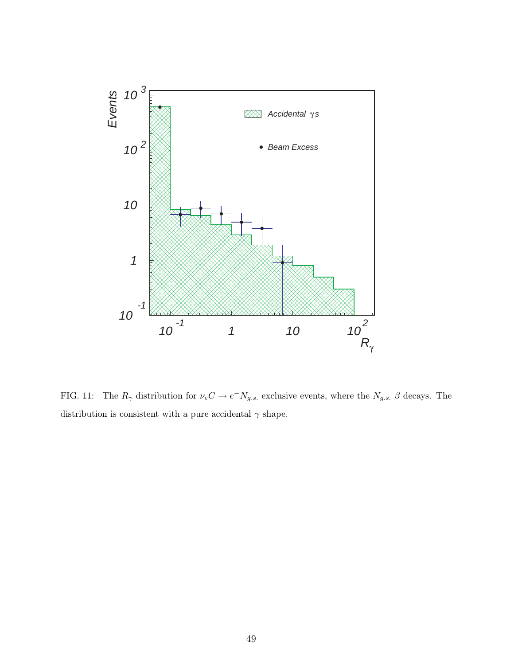<span id="page-50-0"></span>

FIG. 11: The  $R_{\gamma}$  distribution for  $\nu_e C \to e^- N_{g.s.}$  exclusive events, where the  $N_{g.s.}$   $\beta$  decays. The distribution is consistent with a pure accidental  $\gamma$  shape.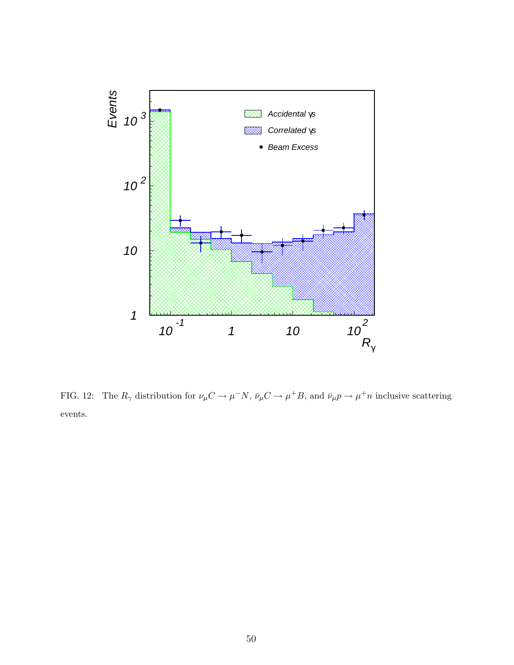<span id="page-51-0"></span>

FIG. 12: The  $R_{\gamma}$  distribution for  $\nu_{\mu}C \to \mu^- N$ ,  $\bar{\nu}_{\mu}C \to \mu^+ B$ , and  $\bar{\nu}_{\mu}p \to \mu^+ n$  inclusive scattering events.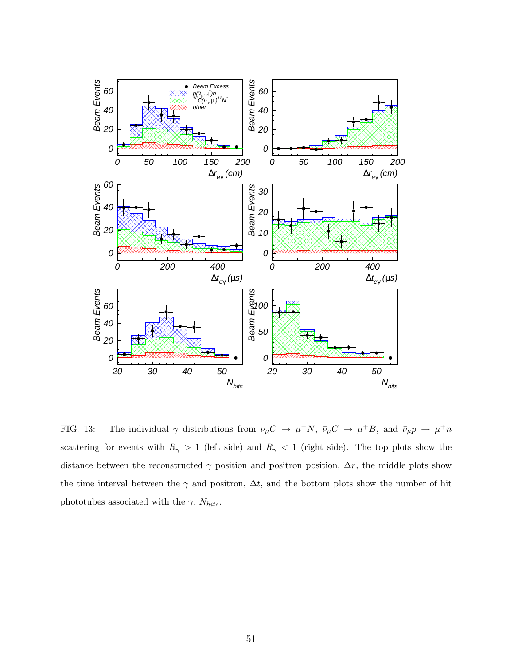<span id="page-52-0"></span>

FIG. 13: The individual  $\gamma$  distributions from  $\nu_{\mu}C \to \mu^-N$ ,  $\bar{\nu}_{\mu}C \to \mu^+B$ , and  $\bar{\nu}_{\mu}p \to \mu^+n$ scattering for events with  $R_{\gamma} > 1$  (left side) and  $R_{\gamma} < 1$  (right side). The top plots show the distance between the reconstructed  $\gamma$  position and positron position,  $\Delta r$ , the middle plots show the time interval between the  $\gamma$  and positron,  $\Delta t$ , and the bottom plots show the number of hit phototubes associated with the  $\gamma$ ,  $N_{hits}$ .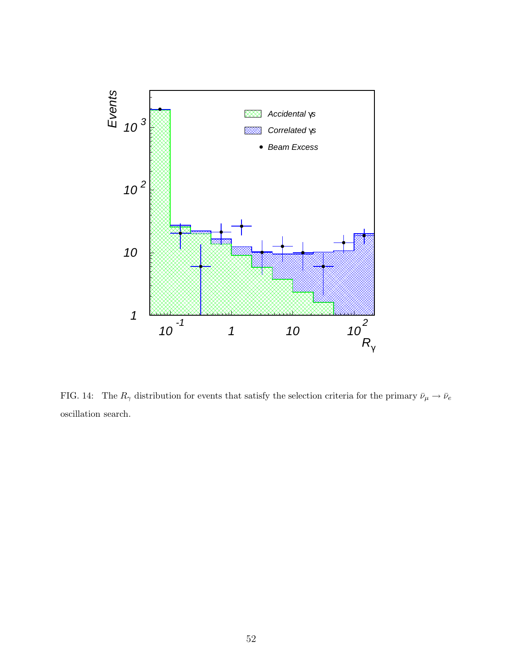<span id="page-53-0"></span>

FIG. 14: The  $R_{\gamma}$  distribution for events that satisfy the selection criteria for the primary  $\bar{\nu}_{\mu} \to \bar{\nu}_{e}$ oscillation search.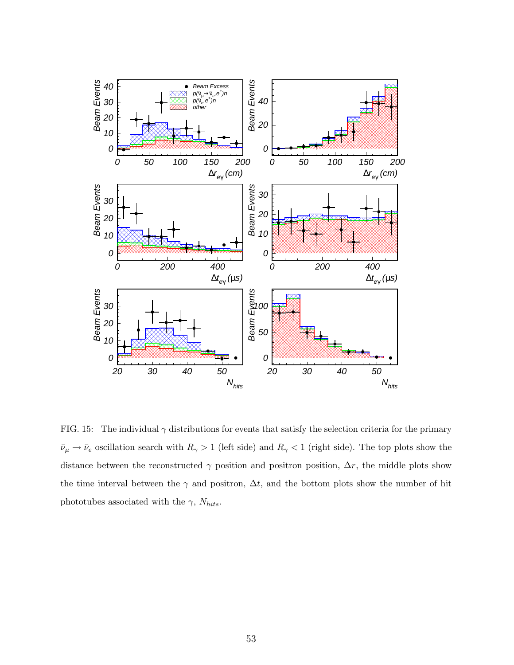<span id="page-54-0"></span>

FIG. 15: The individual  $\gamma$  distributions for events that satisfy the selection criteria for the primary  $\bar{\nu}_{\mu} \to \bar{\nu}_e$  oscillation search with  $R_{\gamma} > 1$  (left side) and  $R_{\gamma} < 1$  (right side). The top plots show the distance between the reconstructed  $\gamma$  position and positron position,  $\Delta r$ , the middle plots show the time interval between the  $\gamma$  and positron,  $\Delta t$ , and the bottom plots show the number of hit phototubes associated with the  $\gamma$ ,  $N_{hits}$ .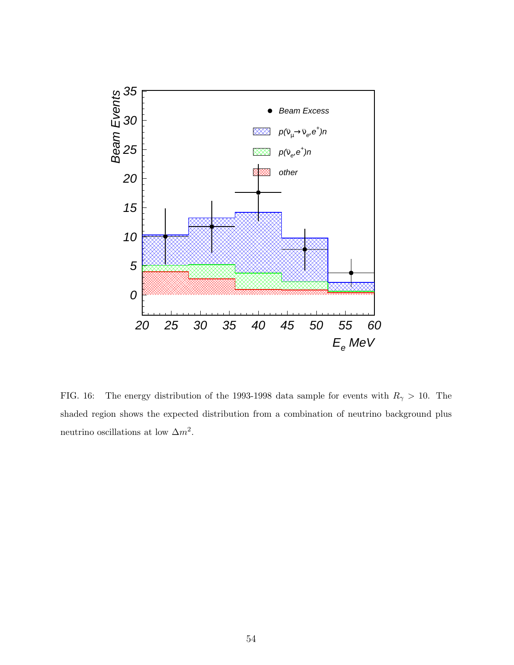<span id="page-55-0"></span>

FIG. 16: The energy distribution of the 1993-1998 data sample for events with  $R_{\gamma} > 10$ . The shaded region shows the expected distribution from a combination of neutrino background plus neutrino oscillations at low  $\Delta m^2$ .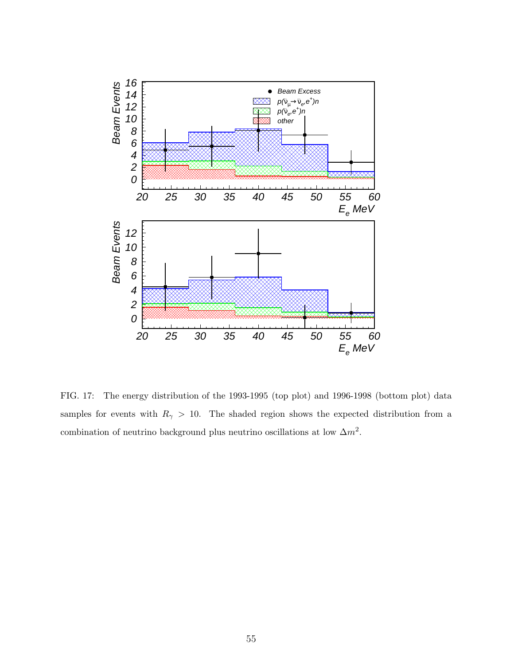<span id="page-56-0"></span>

FIG. 17: The energy distribution of the 1993-1995 (top plot) and 1996-1998 (bottom plot) data samples for events with  $R_{\gamma} > 10$ . The shaded region shows the expected distribution from a combination of neutrino background plus neutrino oscillations at low  $\Delta m^2$ .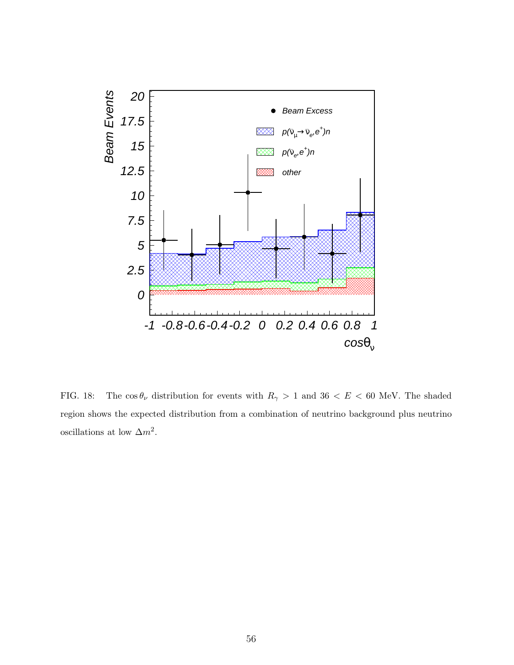<span id="page-57-0"></span>

FIG. 18: The  $\cos \theta_{\nu}$  distribution for events with  $R_{\gamma} > 1$  and  $36 < E < 60$  MeV. The shaded region shows the expected distribution from a combination of neutrino background plus neutrino oscillations at low  $\Delta m^2$ .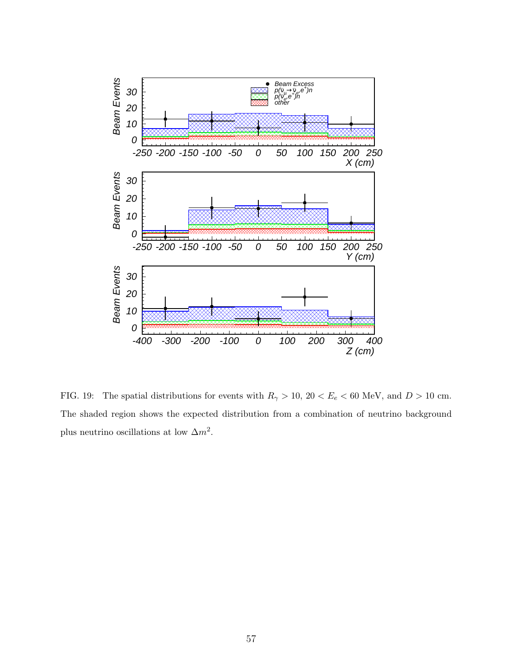<span id="page-58-0"></span>

FIG. 19: The spatial distributions for events with  $R_{\gamma} > 10$ ,  $20 < E_e < 60$  MeV, and  $D > 10$  cm. The shaded region shows the expected distribution from a combination of neutrino background plus neutrino oscillations at low  $\Delta m^2$ .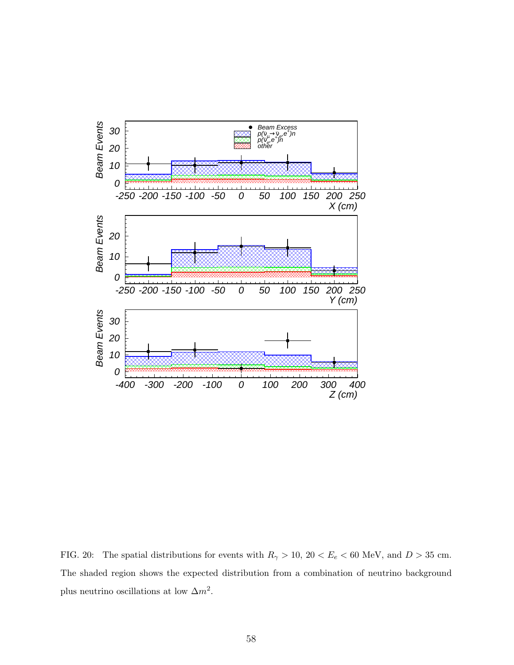<span id="page-59-0"></span>

FIG. 20: The spatial distributions for events with  $R_{\gamma} > 10$ , 20  $\lt E_e \lt 60$  MeV, and  $D > 35$  cm. The shaded region shows the expected distribution from a combination of neutrino background plus neutrino oscillations at low  $\Delta m^2$ .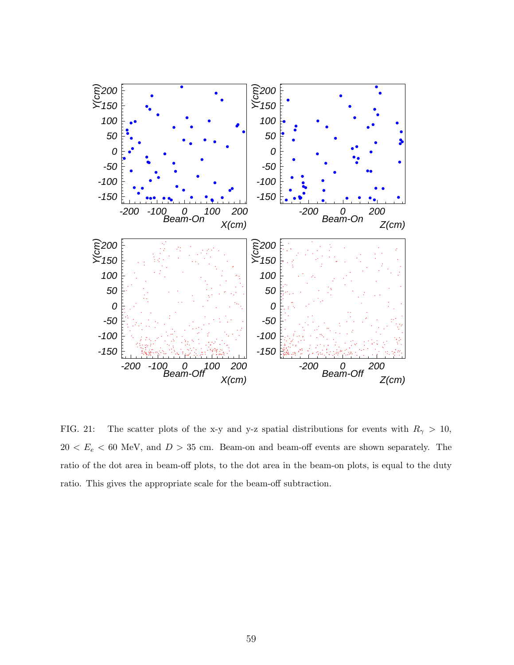<span id="page-60-0"></span>

FIG. 21: The scatter plots of the x-y and y-z spatial distributions for events with  $R_{\gamma} > 10$ ,  $20 < E_e < 60$  MeV, and  $D > 35$  cm. Beam-on and beam-off events are shown separately. The ratio of the dot area in beam-off plots, to the dot area in the beam-on plots, is equal to the duty ratio. This gives the appropriate scale for the beam-off subtraction.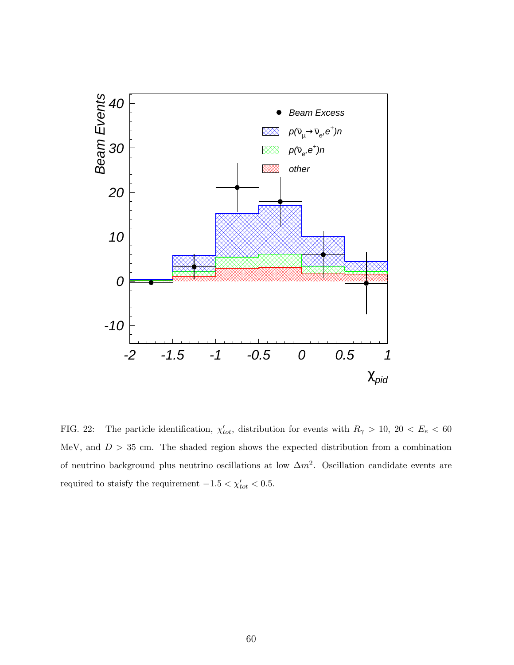<span id="page-61-0"></span>

FIG. 22: The particle identification,  $\chi'_{tot}$ , distribution for events with  $R_{\gamma} > 10$ , 20 <  $E_e < 60$ MeV, and  $D > 35$  cm. The shaded region shows the expected distribution from a combination of neutrino background plus neutrino oscillations at low  $\Delta m^2$ . Oscillation candidate events are required to staisfy the requirement  $-1.5 < \chi'_{tot} < 0.5$ .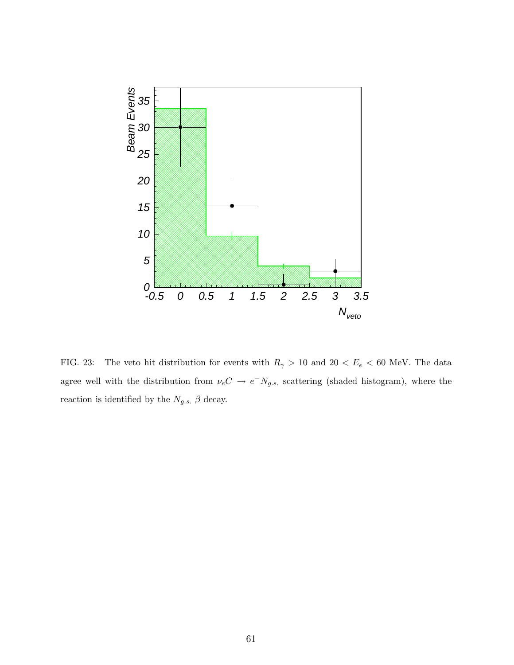<span id="page-62-0"></span>

FIG. 23: The veto hit distribution for events with  $R_{\gamma} > 10$  and  $20 < E_e < 60$  MeV. The data agree well with the distribution from  $\nu_e C \rightarrow e^- N_{g.s.}$  scattering (shaded histogram), where the reaction is identified by the  $N_{g.s.}$   $\beta$  decay.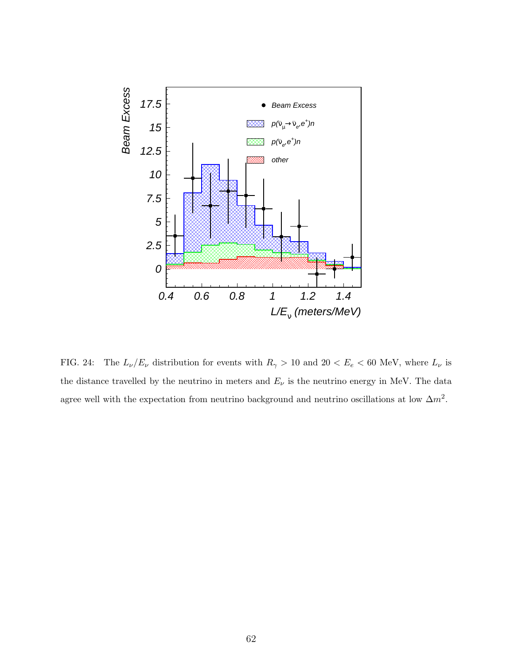<span id="page-63-0"></span>

FIG. 24: The  $L_{\nu}/E_{\nu}$  distribution for events with  $R_{\gamma} > 10$  and  $20 < E_e < 60$  MeV, where  $L_{\nu}$  is the distance travelled by the neutrino in meters and  $E_{\nu}$  is the neutrino energy in MeV. The data agree well with the expectation from neutrino background and neutrino oscillations at low  $\Delta m^2$ .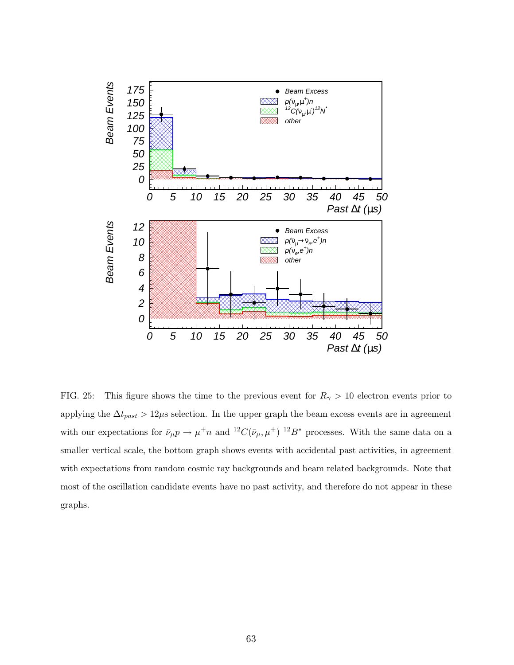<span id="page-64-0"></span>

FIG. 25: This figure shows the time to the previous event for  $R_{\gamma} > 10$  electron events prior to applying the  $\Delta t_{past} > 12 \mu s$  selection. In the upper graph the beam excess events are in agreement with our expectations for  $\bar{\nu}_{\mu}p \to \mu^+ n$  and  ${}^{12}C(\bar{\nu}_{\mu}, \mu^+){}^{12}B^*$  processes. With the same data on a smaller vertical scale, the bottom graph shows events with accidental past activities, in agreement with expectations from random cosmic ray backgrounds and beam related backgrounds. Note that most of the oscillation candidate events have no past activity, and therefore do not appear in these graphs.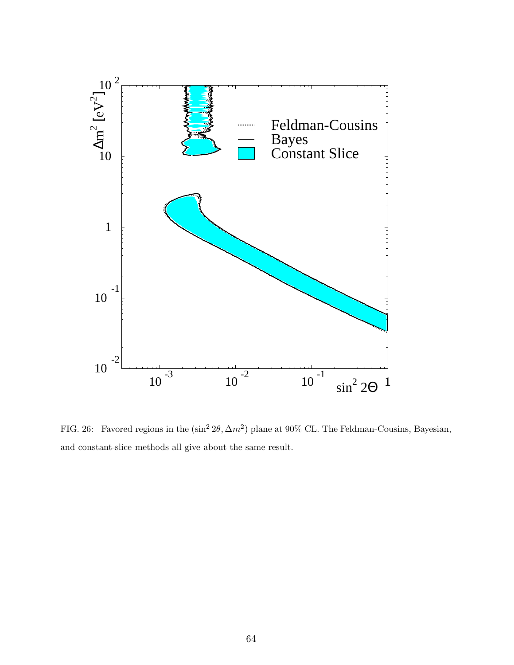<span id="page-65-0"></span>

FIG. 26: Favored regions in the  $(\sin^2 2\theta, \Delta m^2)$  plane at 90% CL. The Feldman-Cousins, Bayesian, and constant-slice methods all give about the same result.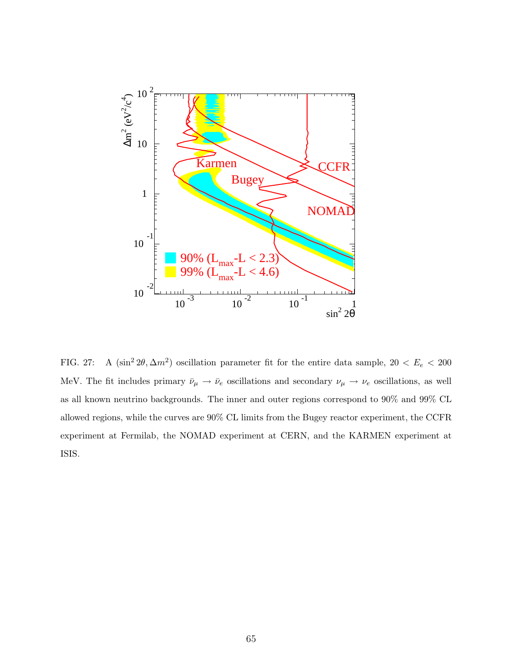<span id="page-66-0"></span>

FIG. 27: A  $(\sin^2 2\theta, \Delta m^2)$  oscillation parameter fit for the entire data sample,  $20 < E_e < 200$ MeV. The fit includes primary  $\bar{\nu}_{\mu} \to \bar{\nu}_{e}$  oscillations and secondary  $\nu_{\mu} \to \nu_{e}$  oscillations, as well as all known neutrino backgrounds. The inner and outer regions correspond to 90% and 99% CL allowed regions, while the curves are 90% CL limits from the Bugey reactor experiment, the CCFR experiment at Fermilab, the NOMAD experiment at CERN, and the KARMEN experiment at ISIS.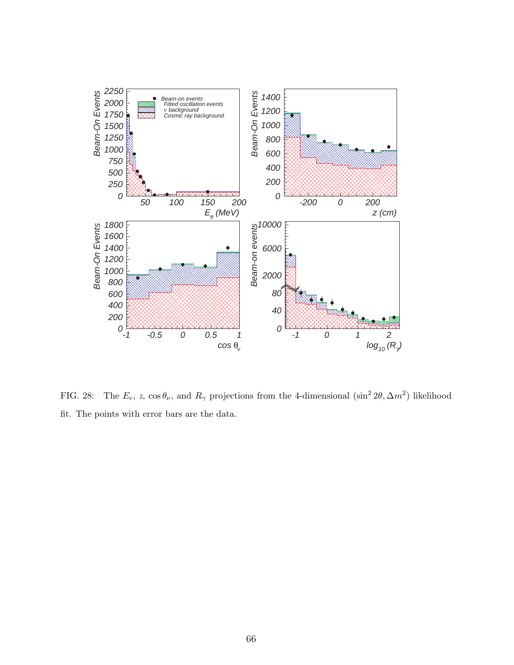<span id="page-67-0"></span>

FIG. 28: The  $E_e$ , z, cos  $\theta_\nu$ , and  $R_\gamma$  projections from the 4-dimensional (sin<sup>2</sup> 2 $\theta$ ,  $\Delta m^2$ ) likelihood fit. The points with error bars are the data.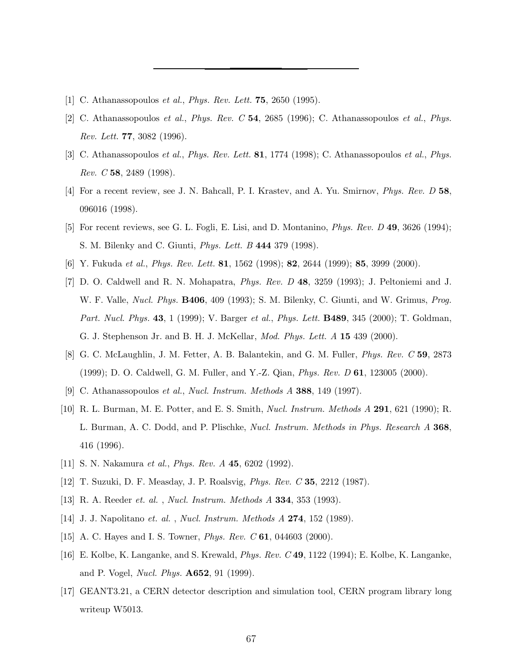- <span id="page-68-0"></span>[1] C. Athanassopoulos *et al., Phys. Rev. Lett.* **75**, 2650 (1995).
- [2] C. Athanassopoulos et al., Phys. Rev. C 54, 2685 (1996); C. Athanassopoulos et al., Phys. Rev. Lett. 77, 3082 (1996).
- [3] C. Athanassopoulos et al., Phys. Rev. Lett. **81**, 1774 (1998); C. Athanassopoulos et al., Phys. Rev. C 58, 2489 (1998).
- [4] For a recent review, see J. N. Bahcall, P. I. Krastev, and A. Yu. Smirnov, Phys. Rev. D 58, 096016 (1998).
- [5] For recent reviews, see G. L. Fogli, E. Lisi, and D. Montanino, Phys. Rev. D 49, 3626 (1994); S. M. Bilenky and C. Giunti, Phys. Lett. B 444 379 (1998).
- [6] Y. Fukuda et al., Phys. Rev. Lett. 81, 1562 (1998); 82, 2644 (1999); 85, 3999 (2000).
- [7] D. O. Caldwell and R. N. Mohapatra, Phys. Rev. D 48, 3259 (1993); J. Peltoniemi and J. W. F. Valle, Nucl. Phys. B406, 409 (1993); S. M. Bilenky, C. Giunti, and W. Grimus, Prog. Part. Nucl. Phys. 43, 1 (1999); V. Barger et al., Phys. Lett. B489, 345 (2000); T. Goldman, G. J. Stephenson Jr. and B. H. J. McKellar, Mod. Phys. Lett. A 15 439 (2000).
- [8] G. C. McLaughlin, J. M. Fetter, A. B. Balantekin, and G. M. Fuller, *Phys. Rev. C* 59, 2873 (1999); D. O. Caldwell, G. M. Fuller, and Y.-Z. Qian, Phys. Rev. D 61, 123005 (2000).
- [9] C. Athanassopoulos et al., Nucl. Instrum. Methods A 388, 149 (1997).
- [10] R. L. Burman, M. E. Potter, and E. S. Smith, Nucl. Instrum. Methods A 291, 621 (1990); R. L. Burman, A. C. Dodd, and P. Plischke, *Nucl. Instrum. Methods in Phys. Research A* 368, 416 (1996).
- [11] S. N. Nakamura *et al., Phys. Rev. A* **45**, 6202 (1992).
- [12] T. Suzuki, D. F. Measday, J. P. Roalsvig, Phys. Rev. C 35, 2212 (1987).
- [13] R. A. Reeder et. al. , Nucl. Instrum. Methods A 334, 353 (1993).
- [14] J. J. Napolitano et. al. , Nucl. Instrum. Methods A 274, 152 (1989).
- [15] A. C. Hayes and I. S. Towner, *Phys. Rev. C* 61, 044603 (2000).
- [16] E. Kolbe, K. Langanke, and S. Krewald, Phys. Rev. C 49, 1122 (1994); E. Kolbe, K. Langanke, and P. Vogel, Nucl. Phys. A652, 91 (1999).
- [17] GEANT3.21, a CERN detector description and simulation tool, CERN program library long writeup W5013.